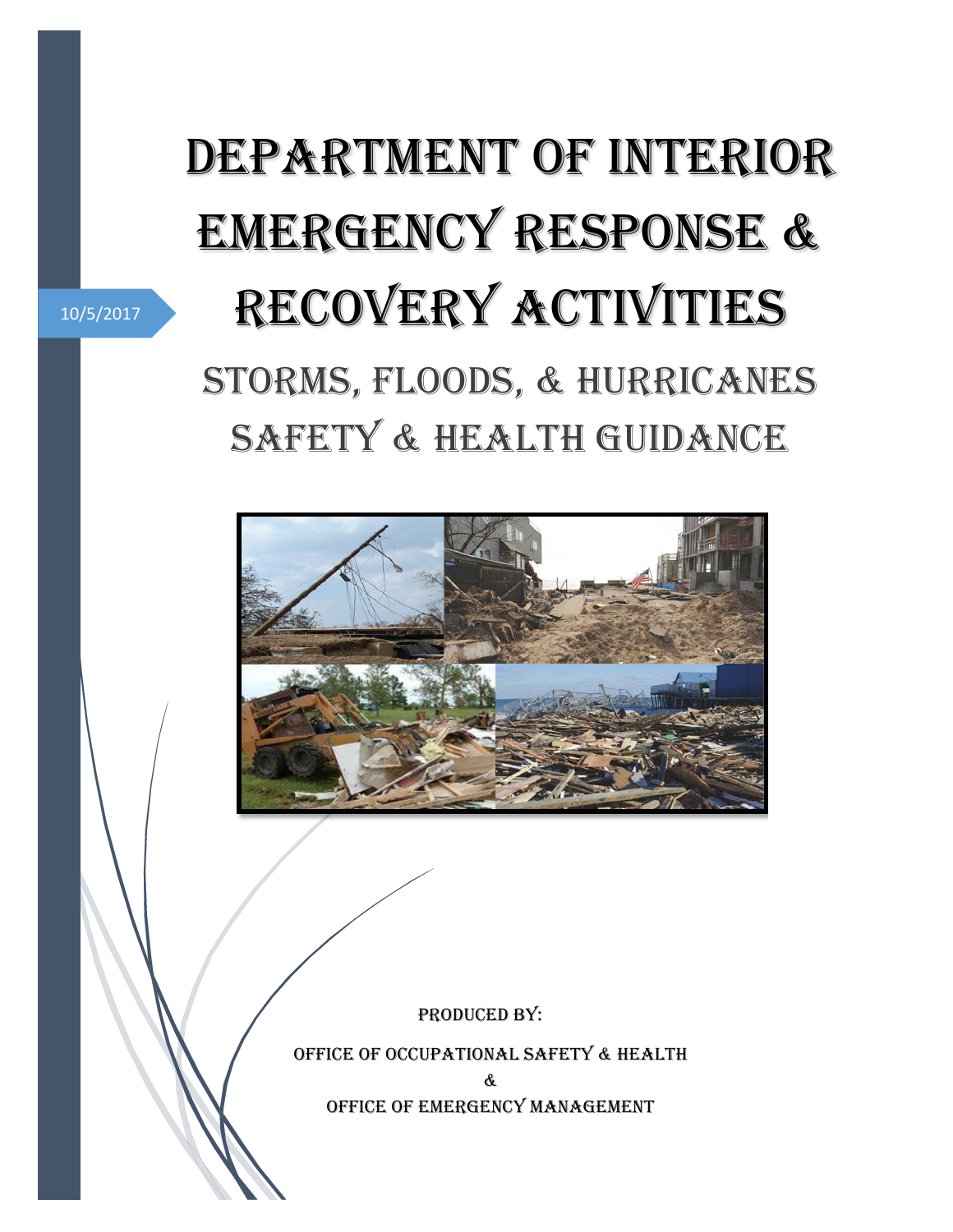# Department of Interior EMERGENCY RESPONSE & Recovery Activities STORMS, Floods, & Hurricanes SAFETY & HEALTH GUIDANCE



PRODUCED BY:

Office of Occupational Safety & Health

& Office of Emergency Management

10/5/2017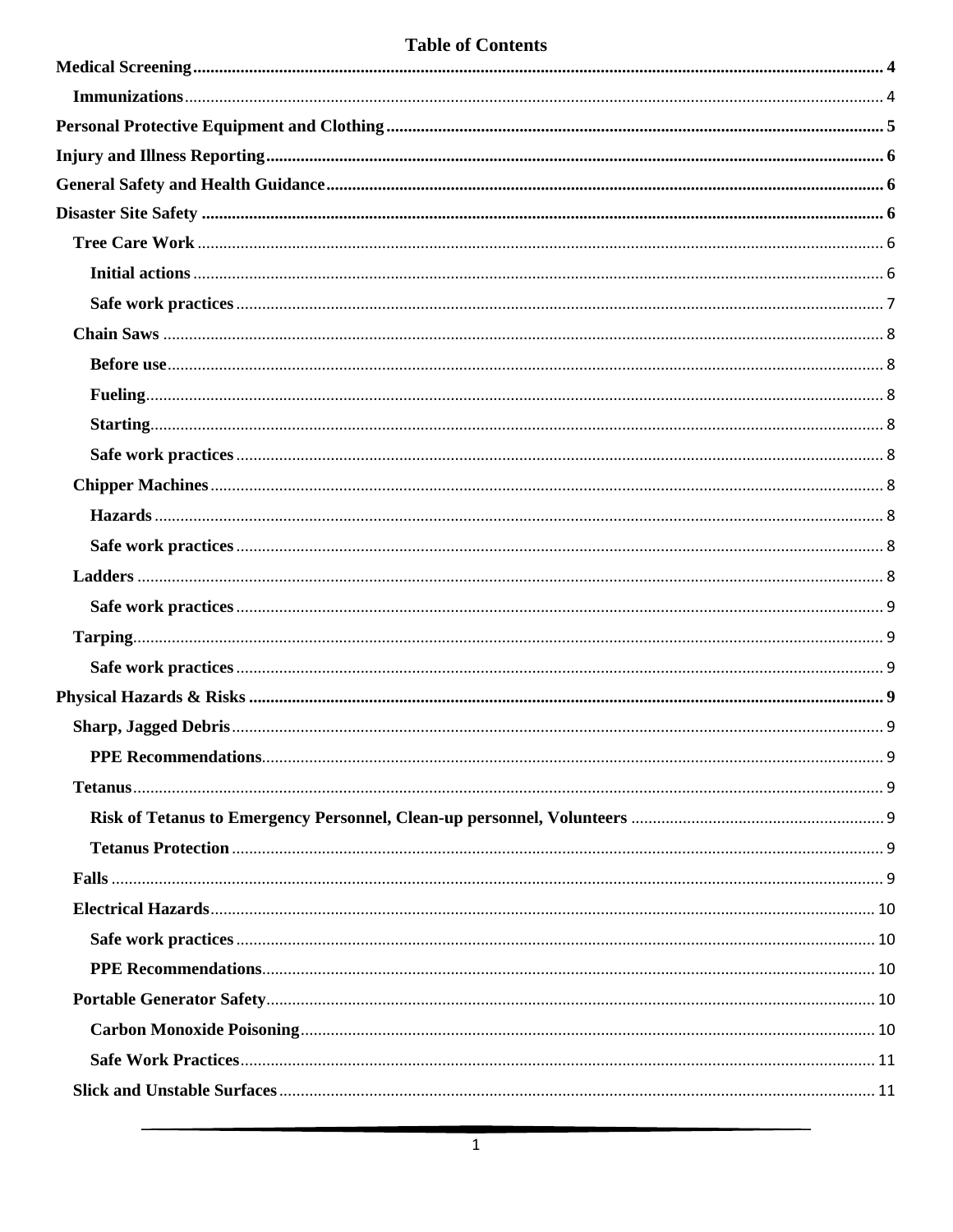# **Table of Contents**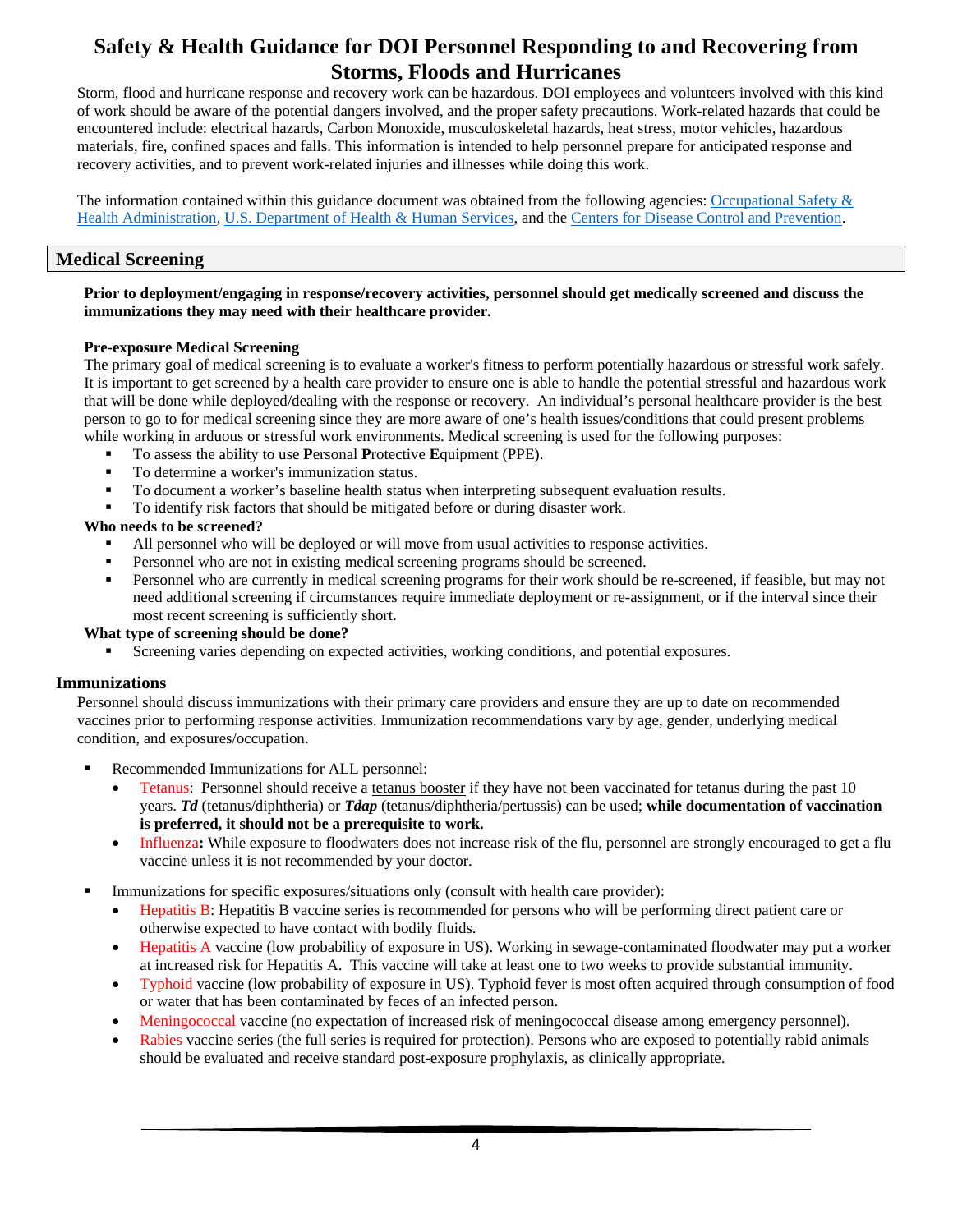# **Safety & Health Guidance for DOI Personnel Responding to and Recovering from Storms, Floods and Hurricanes**

Storm, flood and hurricane response and recovery work can be hazardous. DOI employees and volunteers involved with this kind of work should be aware of the potential dangers involved, and the proper safety precautions. Work-related hazards that could be encountered include: electrical hazards, Carbon Monoxide, musculoskeletal hazards, heat stress, motor vehicles, hazardous materials, fire, confined spaces and falls. This information is intended to help personnel prepare for anticipated response and recovery activities, and to prevent work-related injuries and illnesses while doing this work.

The information contained within this guidance document was obtained from the following agencies: [Occupational Safety &](https://www.osha.gov/SLTC/emergencypreparedness/worker_sh_resources_hurricanes_floods.html)  [Health Administration,](https://www.osha.gov/SLTC/emergencypreparedness/worker_sh_resources_hurricanes_floods.html) [U.S. Department of Health & Human Services,](https://www.phe.gov/emergency/events/harvey2017/Pages/safety.aspx) and the [Centers for Disease Control and Prevention.](https://www.cdc.gov/disasters/index.html)

# <span id="page-4-0"></span>**Medical Screening**

#### **Prior to deployment/engaging in response/recovery activities, personnel should get medically screened and discuss the immunizations they may need with their healthcare provider.**

### **Pre-exposure Medical Screening**

The primary goal of medical screening is to evaluate a worker's fitness to perform potentially hazardous or stressful work safely. It is important to get screened by a health care provider to ensure one is able to handle the potential stressful and hazardous work that will be done while deployed/dealing with the response or recovery. An individual's personal healthcare provider is the best person to go to for medical screening since they are more aware of one's health issues/conditions that could present problems while working in arduous or stressful work environments. Medical screening is used for the following purposes:

- To assess the ability to use **P**ersonal **P**rotective **E**quipment (PPE).
- To determine a worker's immunization status.
- To document a worker's baseline health status when interpreting subsequent evaluation results.
- To identify risk factors that should be mitigated before or during disaster work.

### **Who needs to be screened?**

- All personnel who will be deployed or will move from usual activities to response activities.
- **Personnel who are not in existing medical screening programs should be screened.**
- **Personnel who are currently in medical screening programs for their work should be re-screened, if feasible, but may not** need additional screening if circumstances require immediate deployment or re-assignment, or if the interval since their most recent screening is sufficiently short.

#### **What type of screening should be done?**

Screening varies depending on expected activities, working conditions, and potential exposures.

#### <span id="page-4-1"></span>**Immunizations**

Personnel should discuss immunizations with their primary care providers and ensure they are up to date on recommended vaccines prior to performing response activities. Immunization recommendations vary by age, gender, underlying medical condition, and exposures/occupation.

- Recommended Immunizations for ALL personnel:
	- Tetanus: Personnel should receive a tetanus booster if they have not been vaccinated for tetanus during the past 10 years. *Td* (tetanus/diphtheria) or *Tdap* (tetanus/diphtheria/pertussis) can be used; **while documentation of vaccination is preferred, it should not be a prerequisite to work.**
	- Influenza**:** While exposure to floodwaters does not increase risk of the flu, personnel are strongly encouraged to get a flu vaccine unless it is not recommended by your doctor.
- Immunizations for specific exposures/situations only (consult with health care provider):
	- Hepatitis B: Hepatitis B vaccine series is recommended for persons who will be performing direct patient care or otherwise expected to have contact with bodily fluids.
	- Hepatitis A vaccine (low probability of exposure in US). Working in sewage-contaminated floodwater may put a worker at increased risk for Hepatitis A. This vaccine will take at least one to two weeks to provide substantial immunity.
	- Typhoid vaccine (low probability of exposure in US). Typhoid fever is most often acquired through consumption of food or water that has been contaminated by feces of an infected person.
	- Meningococcal vaccine (no expectation of increased risk of meningococcal disease among emergency personnel).
	- Rabies vaccine series (the full series is required for protection). Persons who are exposed to potentially rabid animals should be evaluated and receive standard post-exposure prophylaxis, as clinically appropriate.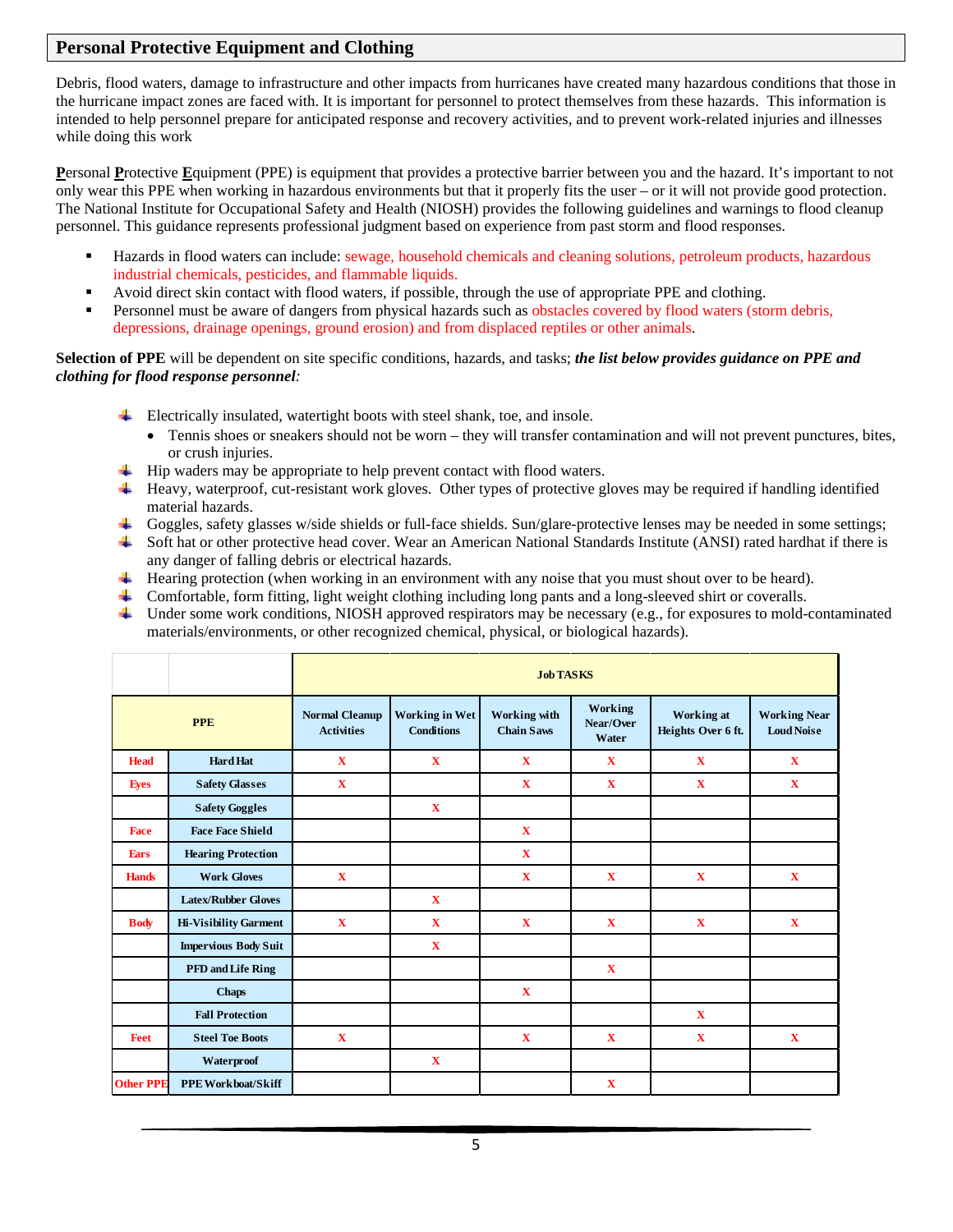## <span id="page-5-0"></span>**Personal Protective Equipment and Clothing**

Debris, flood waters, damage to infrastructure and other impacts from hurricanes have created many hazardous conditions that those in the hurricane impact zones are faced with. It is important for personnel to protect themselves from these hazards. This information is intended to help personnel prepare for anticipated response and recovery activities, and to prevent work-related injuries and illnesses while doing this work

**P**ersonal **P**rotective **E**quipment (PPE) is equipment that provides a protective barrier between you and the hazard. It's important to not only wear this PPE when working in hazardous environments but that it properly fits the user – or it will not provide good protection. The National Institute for Occupational Safety and Health (NIOSH) provides the following guidelines and warnings to flood cleanup personnel. This guidance represents professional judgment based on experience from past storm and flood responses.

- Hazards in flood waters can include: sewage, household chemicals and cleaning solutions, petroleum products, hazardous industrial chemicals, pesticides, and flammable liquids.
- Avoid direct skin contact with flood waters, if possible, through the use of appropriate PPE and clothing.
- Personnel must be aware of dangers from physical hazards such as obstacles covered by flood waters (storm debris, depressions, drainage openings, ground erosion) and from displaced reptiles or other animals.

**Selection of PPE** will be dependent on site specific conditions, hazards, and tasks; *the list below provides guidance on PPE and clothing for flood response personnel:*

- $\overline{\phantom{a}}$  Electrically insulated, watertight boots with steel shank, toe, and insole.
	- Tennis shoes or sneakers should not be worn they will transfer contamination and will not prevent punctures, bites, or crush injuries.
- $\overline{\phantom{a}}$  Hip waders may be appropriate to help prevent contact with flood waters.
- Heavy, waterproof, cut-resistant work gloves. Other types of protective gloves may be required if handling identified material hazards.
- ₩., Goggles, safety glasses w/side shields or full-face shields. Sun/glare-protective lenses may be needed in some settings;
- 40 Soft hat or other protective head cover. Wear an American National Standards Institute (ANSI) rated hardhat if there is any danger of falling debris or electrical hazards.
- $\blacktriangle$  Hearing protection (when working in an environment with any noise that you must shout over to be heard).
- Comfortable, form fitting, light weight clothing including long pants and a long-sleeved shirt or coveralls.
- **Section** Under some work conditions, NIOSH approved respirators may be necessary (e.g., for exposures to mold-contaminated materials/environments, or other recognized chemical, physical, or biological hazards).

|                  |                              | <b>Job TASKS</b>                           |                                            |                                          |                               |                                  |                                          |
|------------------|------------------------------|--------------------------------------------|--------------------------------------------|------------------------------------------|-------------------------------|----------------------------------|------------------------------------------|
|                  | <b>PPE</b>                   | <b>Normal Cleanup</b><br><b>Activities</b> | <b>Working in Wet</b><br><b>Conditions</b> | <b>Working</b> with<br><b>Chain Saws</b> | Working<br>Near/Over<br>Water | Working at<br>Heights Over 6 ft. | <b>Working Near</b><br><b>Loud Noise</b> |
| <b>Head</b>      | <b>Hard Hat</b>              | $\mathbf{X}$                               | $\mathbf X$                                | $\mathbf{X}$                             | $\mathbf{X}$                  | $\mathbf X$                      | $\mathbf{X}$                             |
| <b>Eyes</b>      | <b>Safety Glasses</b>        | $\mathbf X$                                |                                            | X                                        | $\mathbf{X}$                  | X                                | $\mathbf X$                              |
|                  | <b>Safety Goggles</b>        |                                            | $\mathbf X$                                |                                          |                               |                                  |                                          |
| <b>Face</b>      | <b>Face Face Shield</b>      |                                            |                                            | $\mathbf{X}$                             |                               |                                  |                                          |
| <b>Ears</b>      | <b>Hearing Protection</b>    |                                            |                                            | $\mathbf X$                              |                               |                                  |                                          |
| <b>Hands</b>     | <b>Work Gloves</b>           | $\mathbf X$                                |                                            | X                                        | $\mathbf{X}$                  | $\mathbf X$                      | $\mathbf{X}$                             |
|                  | <b>Latex/Rubber Gloves</b>   |                                            | $\mathbf X$                                |                                          |                               |                                  |                                          |
| <b>Body</b>      | <b>Hi-Visibility Garment</b> | $\mathbf X$                                | $\mathbf X$                                | X                                        | $\mathbf{X}$                  | $\mathbf X$                      | $\mathbf X$                              |
|                  | <b>Impervious Body Suit</b>  |                                            | $\mathbf X$                                |                                          |                               |                                  |                                          |
|                  | <b>PFD and Life Ring</b>     |                                            |                                            |                                          | $\mathbf{X}$                  |                                  |                                          |
|                  | <b>Chaps</b>                 |                                            |                                            | $\mathbf X$                              |                               |                                  |                                          |
|                  | <b>Fall Protection</b>       |                                            |                                            |                                          |                               | $\mathbf X$                      |                                          |
| <b>Feet</b>      | <b>Steel Toe Boots</b>       | $\mathbf X$                                |                                            | $\mathbf X$                              | $\mathbf X$                   | $\mathbf X$                      | $\mathbf X$                              |
|                  | Waterproof                   |                                            | $\mathbf X$                                |                                          |                               |                                  |                                          |
| <b>Other PPE</b> | <b>PPE Workboat/Skiff</b>    |                                            |                                            |                                          | $\mathbf X$                   |                                  |                                          |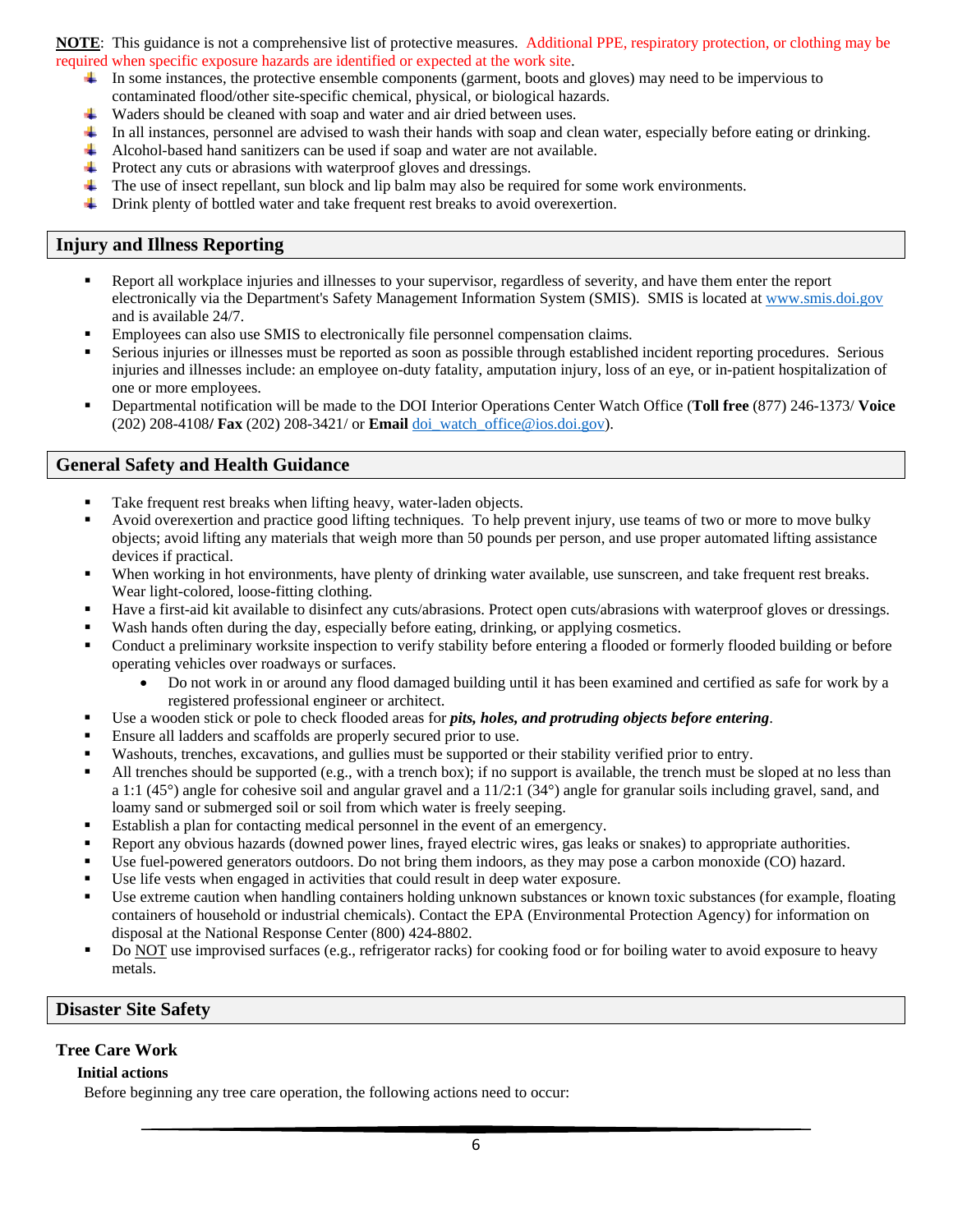**NOTE**: This guidance is not a comprehensive list of protective measures. Additional PPE, respiratory protection, or clothing may be required when specific exposure hazards are identified or expected at the work site.

- In some instances, the protective ensemble components (garment, boots and gloves) may need to be impervious to contaminated flood/other site-specific chemical, physical, or biological hazards.
- 4 Waders should be cleaned with soap and water and air dried between uses.
- In all instances, personnel are advised to wash their hands with soap and clean water, especially before eating or drinking.
- ₩ Alcohol-based hand sanitizers can be used if soap and water are not available.
- $\overline{\phantom{a}}$  Protect any cuts or abrasions with waterproof gloves and dressings.
- ÷ The use of insect repellant, sun block and lip balm may also be required for some work environments.
- 4 Drink plenty of bottled water and take frequent rest breaks to avoid overexertion.

## <span id="page-6-0"></span>**Injury and Illness Reporting**

- Report all workplace injuries and illnesses to your supervisor, regardless of severity, and have them enter the report electronically via the Department's Safety Management Information System (SMIS). SMIS is located at [www.smis.doi.gov](http://www.smis.doi.gov/) and is available 24/7.
- Employees can also use SMIS to electronically file personnel compensation claims.
- Serious injuries or illnesses must be reported as soon as possible through established incident reporting procedures. Serious injuries and illnesses include: an employee on-duty fatality, amputation injury, loss of an eye, or in-patient hospitalization of one or more employees.
- Departmental notification will be made to the DOI Interior Operations Center Watch Office (**Toll free** (877) 246-1373/ **Voice**  (202) 208-4108**/ Fax** (202) 208-3421/ or **Email** [doi\\_watch\\_office@ios.doi.gov\)](mailto:doi_watch_office@ios.doi.gov).

## <span id="page-6-1"></span>**General Safety and Health Guidance**

- Take frequent rest breaks when lifting heavy, water-laden objects.
- Avoid overexertion and practice good lifting techniques. To help prevent injury, use teams of two or more to move bulky objects; avoid lifting any materials that weigh more than 50 pounds per person, and use proper automated lifting assistance devices if practical.
- When working in hot environments, have plenty of drinking water available, use sunscreen, and take frequent rest breaks. Wear light-colored, loose-fitting clothing.
- Have a first-aid kit available to disinfect any cuts/abrasions. Protect open cuts/abrasions with waterproof gloves or dressings.
- Wash hands often during the day, especially before eating, drinking, or applying cosmetics.
- Conduct a preliminary worksite inspection to verify stability before entering a flooded or formerly flooded building or before operating vehicles over roadways or surfaces.
	- Do not work in or around any flood damaged building until it has been examined and certified as safe for work by a registered professional engineer or architect.
- Use a wooden stick or pole to check flooded areas for *pits, holes, and protruding objects before entering*.
- Ensure all ladders and scaffolds are properly secured prior to use.
- Washouts, trenches, excavations, and gullies must be supported or their stability verified prior to entry.
- All trenches should be supported (e.g., with a trench box); if no support is available, the trench must be sloped at no less than a 1:1 (45°) angle for cohesive soil and angular gravel and a 11/2:1 (34°) angle for granular soils including gravel, sand, and loamy sand or submerged soil or soil from which water is freely seeping.
- Establish a plan for contacting medical personnel in the event of an emergency.
- Report any obvious hazards (downed power lines, frayed electric wires, gas leaks or snakes) to appropriate authorities.
- Use fuel-powered generators outdoors. Do not bring them indoors, as they may pose a carbon monoxide (CO) hazard.
- Use life vests when engaged in activities that could result in deep water exposure.
- Use extreme caution when handling containers holding unknown substances or known toxic substances (for example, floating containers of household or industrial chemicals). Contact the EPA (Environmental Protection Agency) for information on disposal at the National Response Center (800) 424-8802.
- Do NOT use improvised surfaces (e.g., refrigerator racks) for cooking food or for boiling water to avoid exposure to heavy metals.

## <span id="page-6-2"></span>**Disaster Site Safety**

## <span id="page-6-4"></span><span id="page-6-3"></span>**Tree Care Work**

## **Initial actions**

Before beginning any tree care operation, the following actions need to occur: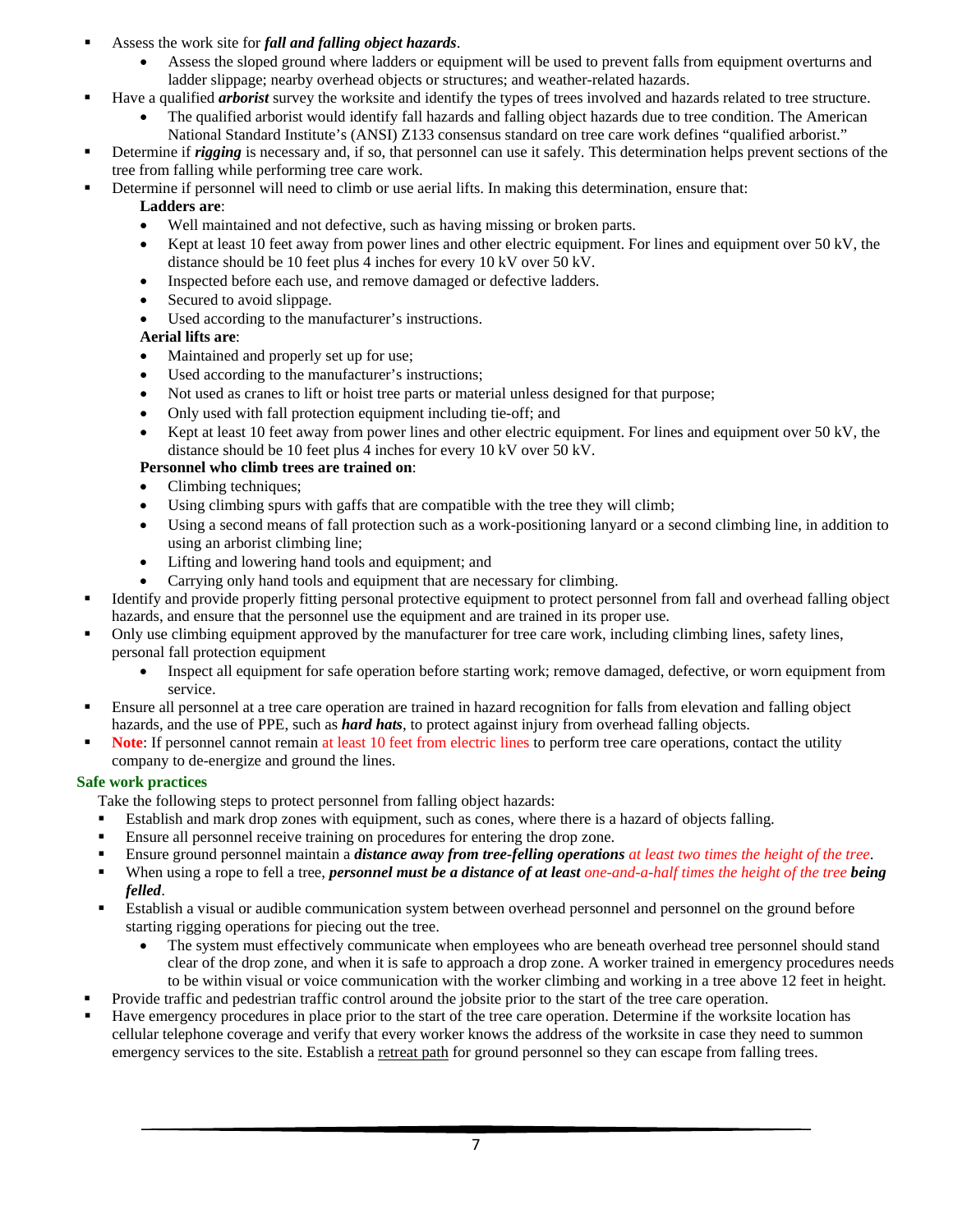- Assess the work site for *fall and falling object hazards*.
	- Assess the sloped ground where ladders or equipment will be used to prevent falls from equipment overturns and ladder slippage; nearby overhead objects or structures; and weather-related hazards.
- Have a qualified *arborist* survey the worksite and identify the types of trees involved and hazards related to tree structure.
	- The qualified arborist would identify fall hazards and falling object hazards due to tree condition. The American National Standard Institute's (ANSI) Z133 consensus standard on tree care work defines "qualified arborist."
- Determine if *rigging* is necessary and, if so, that personnel can use it safely. This determination helps prevent sections of the tree from falling while performing tree care work.
- Determine if personnel will need to climb or use aerial lifts. In making this determination, ensure that:

## **Ladders are**:

- Well maintained and not defective, such as having missing or broken parts.
- Kept at least 10 feet away from power lines and other electric equipment. For lines and equipment over 50 kV, the distance should be 10 feet plus 4 inches for every 10 kV over 50 kV.
- Inspected before each use, and remove damaged or defective ladders.
- Secured to avoid slippage.
- Used according to the manufacturer's instructions.

## **Aerial lifts are**:

- Maintained and properly set up for use;
- Used according to the manufacturer's instructions;
- Not used as cranes to lift or hoist tree parts or material unless designed for that purpose;
- Only used with fall protection equipment including tie-off; and
- Kept at least 10 feet away from power lines and other electric equipment. For lines and equipment over 50 kV, the distance should be 10 feet plus 4 inches for every 10 kV over 50 kV.

## **Personnel who climb trees are trained on**:

- Climbing techniques;
- Using climbing spurs with gaffs that are compatible with the tree they will climb;
- Using a second means of fall protection such as a work-positioning lanyard or a second climbing line, in addition to using an arborist climbing line;
- Lifting and lowering hand tools and equipment; and
- Carrying only hand tools and equipment that are necessary for climbing.
- Identify and provide properly fitting personal protective equipment to protect personnel from fall and overhead falling object hazards, and ensure that the personnel use the equipment and are trained in its proper use.
- Only use climbing equipment approved by the manufacturer for tree care work, including climbing lines, safety lines, personal fall protection equipment
	- Inspect all equipment for safe operation before starting work; remove damaged, defective, or worn equipment from service.
- Ensure all personnel at a tree care operation are trained in hazard recognition for falls from elevation and falling object hazards, and the use of PPE, such as *hard hats*, to protect against injury from overhead falling objects.
- **Note**: If personnel cannot remain at least 10 feet from electric lines to perform tree care operations, contact the utility company to de-energize and ground the lines.

## <span id="page-7-0"></span>**Safe work practices**

Take the following steps to protect personnel from falling object hazards:

- Establish and mark drop zones with equipment, such as cones, where there is a hazard of objects falling.
- **Ensure all personnel receive training on procedures for entering the drop zone.**
- Ensure ground personnel maintain a *distance away from tree-felling operations at least two times the height of the tree*.
- When using a rope to fell a tree, *personnel must be a distance of at least one-and-a-half times the height of the tree being felled*.
- Establish a visual or audible communication system between overhead personnel and personnel on the ground before starting rigging operations for piecing out the tree.
	- The system must effectively communicate when employees who are beneath overhead tree personnel should stand clear of the drop zone, and when it is safe to approach a drop zone. A worker trained in emergency procedures needs to be within visual or voice communication with the worker climbing and working in a tree above 12 feet in height.
- Provide traffic and pedestrian traffic control around the jobsite prior to the start of the tree care operation.
- Have emergency procedures in place prior to the start of the tree care operation. Determine if the worksite location has cellular telephone coverage and verify that every worker knows the address of the worksite in case they need to summon emergency services to the site. Establish a retreat path for ground personnel so they can escape from falling trees.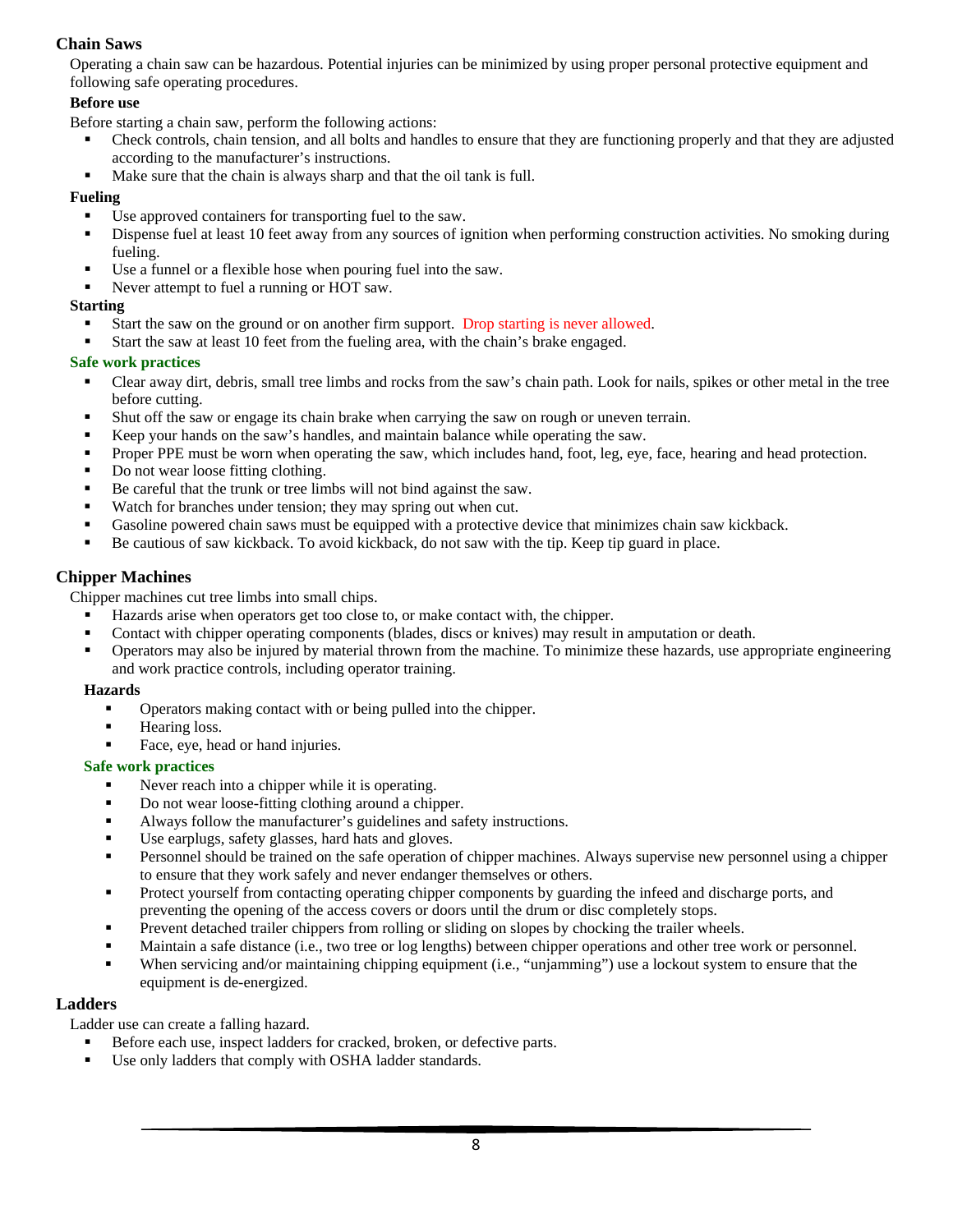## <span id="page-8-0"></span>**Chain Saws**

Operating a chain saw can be hazardous. Potential injuries can be minimized by using proper personal protective equipment and following safe operating procedures.

## <span id="page-8-1"></span>**Before use**

Before starting a chain saw, perform the following actions:

- Check controls, chain tension, and all bolts and handles to ensure that they are functioning properly and that they are adjusted according to the manufacturer's instructions.
- Make sure that the chain is always sharp and that the oil tank is full.

## <span id="page-8-2"></span>**Fueling**

- Use approved containers for transporting fuel to the saw.
- Dispense fuel at least 10 feet away from any sources of ignition when performing construction activities. No smoking during fueling.
- Use a funnel or a flexible hose when pouring fuel into the saw.
- Never attempt to fuel a running or HOT saw.

## <span id="page-8-3"></span>**Starting**

- Start the saw on the ground or on another firm support. Drop starting is never allowed.
- Start the saw at least 10 feet from the fueling area, with the chain's brake engaged.

### <span id="page-8-4"></span>**Safe work practices**

- Clear away dirt, debris, small tree limbs and rocks from the saw's chain path. Look for nails, spikes or other metal in the tree before cutting.
- Shut off the saw or engage its chain brake when carrying the saw on rough or uneven terrain.
- Keep your hands on the saw's handles, and maintain balance while operating the saw.
- Proper PPE must be worn when operating the saw, which includes hand, foot, leg, eye, face, hearing and head protection.
- Do not wear loose fitting clothing.
- Be careful that the trunk or tree limbs will not bind against the saw.
- Watch for branches under tension; they may spring out when cut.
- Gasoline powered chain saws must be equipped with a protective device that minimizes chain saw kickback.
- Be cautious of saw kickback. To avoid kickback, do not saw with the tip. Keep tip guard in place.

## <span id="page-8-5"></span>**Chipper Machines**

Chipper machines cut tree limbs into small chips.

- Hazards arise when operators get too close to, or make contact with, the chipper.
- Contact with chipper operating components (blades, discs or knives) may result in amputation or death.<br>
Operators may also be injured by material thrown from the machine. To minimize these hazards use an
- Operators may also be injured by material thrown from the machine. To minimize these hazards, use appropriate engineering and work practice controls, including operator training.

#### <span id="page-8-6"></span>**Hazards**

- Operators making contact with or being pulled into the chipper.
- **Hearing loss.**
- Face, eye, head or hand injuries.

## <span id="page-8-7"></span>**Safe work practices**

- Never reach into a chipper while it is operating.
- Do not wear loose-fitting clothing around a chipper.
- Always follow the manufacturer's guidelines and safety instructions.
- Use earplugs, safety glasses, hard hats and gloves.
- Personnel should be trained on the safe operation of chipper machines. Always supervise new personnel using a chipper to ensure that they work safely and never endanger themselves or others.
- **Protect yourself from contacting operating chipper components by guarding the infeed and discharge ports, and** preventing the opening of the access covers or doors until the drum or disc completely stops.
- Prevent detached trailer chippers from rolling or sliding on slopes by chocking the trailer wheels.
- Maintain a safe distance (i.e., two tree or log lengths) between chipper operations and other tree work or personnel.
- When servicing and/or maintaining chipping equipment (i.e., "unjamming") use a lockout system to ensure that the equipment is de-energized.

## <span id="page-8-8"></span>**Ladders**

Ladder use can create a falling hazard.

- Before each use, inspect ladders for cracked, broken, or defective parts.
- Use only ladders that comply with OSHA ladder standards.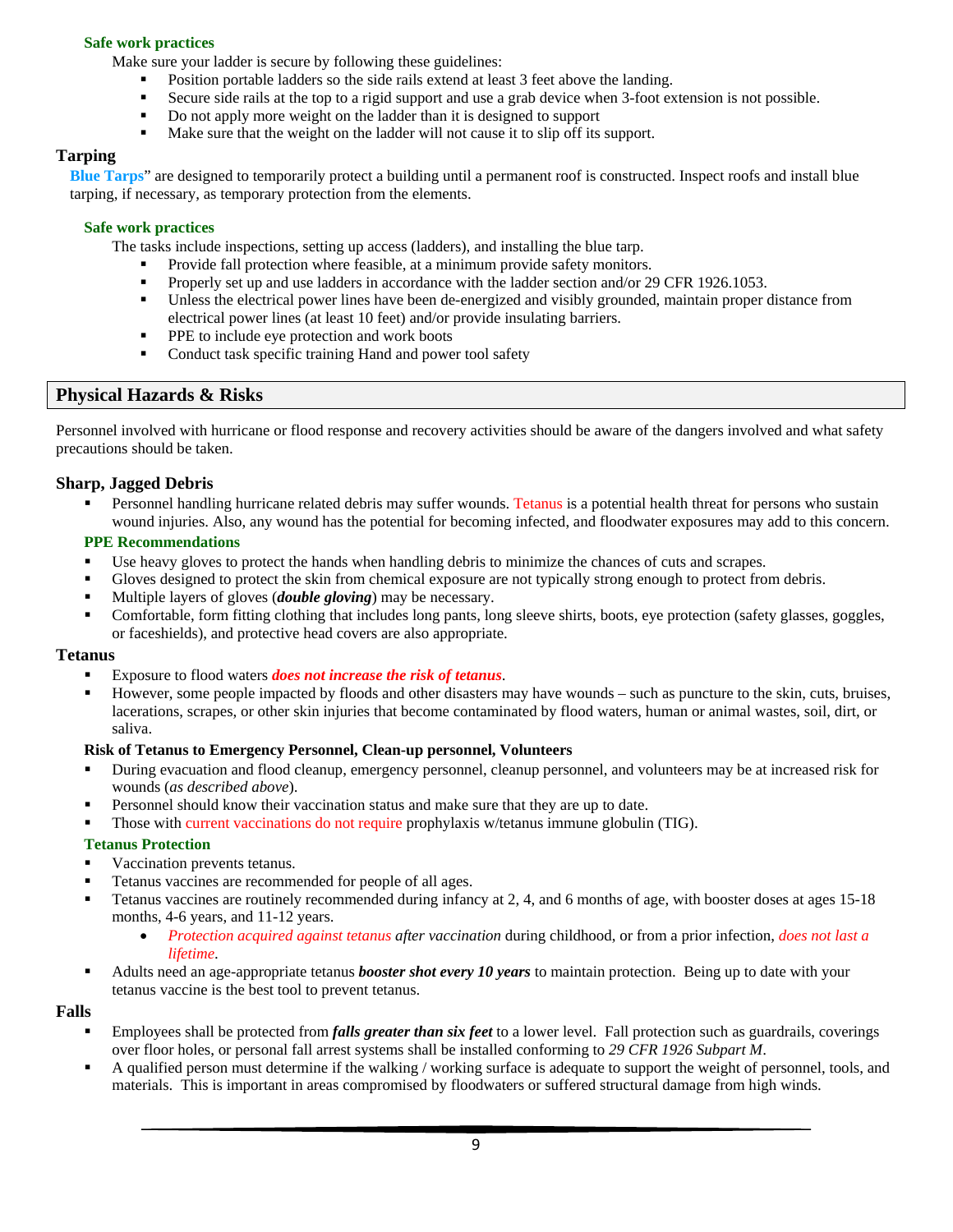### <span id="page-9-0"></span>**Safe work practices**

Make sure your ladder is secure by following these guidelines:

- Position portable ladders so the side rails extend at least 3 feet above the landing.
- Secure side rails at the top to a rigid support and use a grab device when 3-foot extension is not possible.
- Do not apply more weight on the ladder than it is designed to support
- Make sure that the weight on the ladder will not cause it to slip off its support.

## <span id="page-9-1"></span>**Tarping**

**Blue Tarps**" are designed to temporarily protect a building until a permanent roof is constructed. Inspect roofs and install blue tarping, if necessary, as temporary protection from the elements.

#### <span id="page-9-2"></span>**Safe work practices**

The tasks include inspections, setting up access (ladders), and installing the blue tarp.

- Provide fall protection where feasible, at a minimum provide safety monitors.
- Properly set up and use ladders in accordance with the ladder section and/or 29 CFR 1926.1053.
- Unless the electrical power lines have been de-energized and visibly grounded, maintain proper distance from electrical power lines (at least 10 feet) and/or provide insulating barriers.
- **PPE** to include eye protection and work boots
- Conduct task specific training Hand and power tool safety

## <span id="page-9-3"></span>**Physical Hazards & Risks**

Personnel involved with hurricane or flood response and recovery activities should be aware of the dangers involved and what safety precautions should be taken.

## <span id="page-9-4"></span>**Sharp, Jagged Debris**

 Personnel handling hurricane related debris may suffer wounds. Tetanus is a potential health threat for persons who sustain wound injuries. Also, any wound has the potential for becoming infected, and floodwater exposures may add to this concern.

#### <span id="page-9-5"></span>**PPE Recommendations**

- Use heavy gloves to protect the hands when handling debris to minimize the chances of cuts and scrapes.
- Gloves designed to protect the skin from chemical exposure are not typically strong enough to protect from debris.
- Multiple layers of gloves (*double gloving*) may be necessary.
- Comfortable, form fitting clothing that includes long pants, long sleeve shirts, boots, eye protection (safety glasses, goggles, or faceshields), and protective head covers are also appropriate.

#### <span id="page-9-6"></span>**Tetanus**

- Exposure to flood waters *does not increase the risk of tetanus*.
- However, some people impacted by floods and other disasters may have wounds such as puncture to the skin, cuts, bruises, lacerations, scrapes, or other skin injuries that become contaminated by flood waters, human or animal wastes, soil, dirt, or saliva.

#### <span id="page-9-7"></span>**Risk of Tetanus to Emergency Personnel, Clean-up personnel, Volunteers**

- During evacuation and flood cleanup, emergency personnel, cleanup personnel, and volunteers may be at increased risk for wounds (*as described above*).
- Personnel should know their vaccination status and make sure that they are up to date.
- Those with current vaccinations do not require prophylaxis w/tetanus immune globulin (TIG).

#### <span id="page-9-8"></span>**Tetanus Protection**

- Vaccination prevents tetanus.
- Tetanus vaccines are recommended for people of all ages.
- Tetanus vaccines are routinely recommended during infancy at 2, 4, and 6 months of age, with booster doses at ages 15-18 months, 4-6 years, and 11-12 years.
	- *Protection acquired against tetanus after vaccination* during childhood, or from a prior infection, *does not last a lifetime*.
- Adults need an age-appropriate tetanus *booster shot every 10 years* to maintain protection. Being up to date with your tetanus vaccine is the best tool to prevent tetanus.

#### <span id="page-9-9"></span>**Falls**

- Employees shall be protected from *falls greater than six feet* to a lower level. Fall protection such as guardrails, coverings over floor holes, or personal fall arrest systems shall be installed conforming to *29 CFR 1926 Subpart M*.
- A qualified person must determine if the walking / working surface is adequate to support the weight of personnel, tools, and materials. This is important in areas compromised by floodwaters or suffered structural damage from high winds.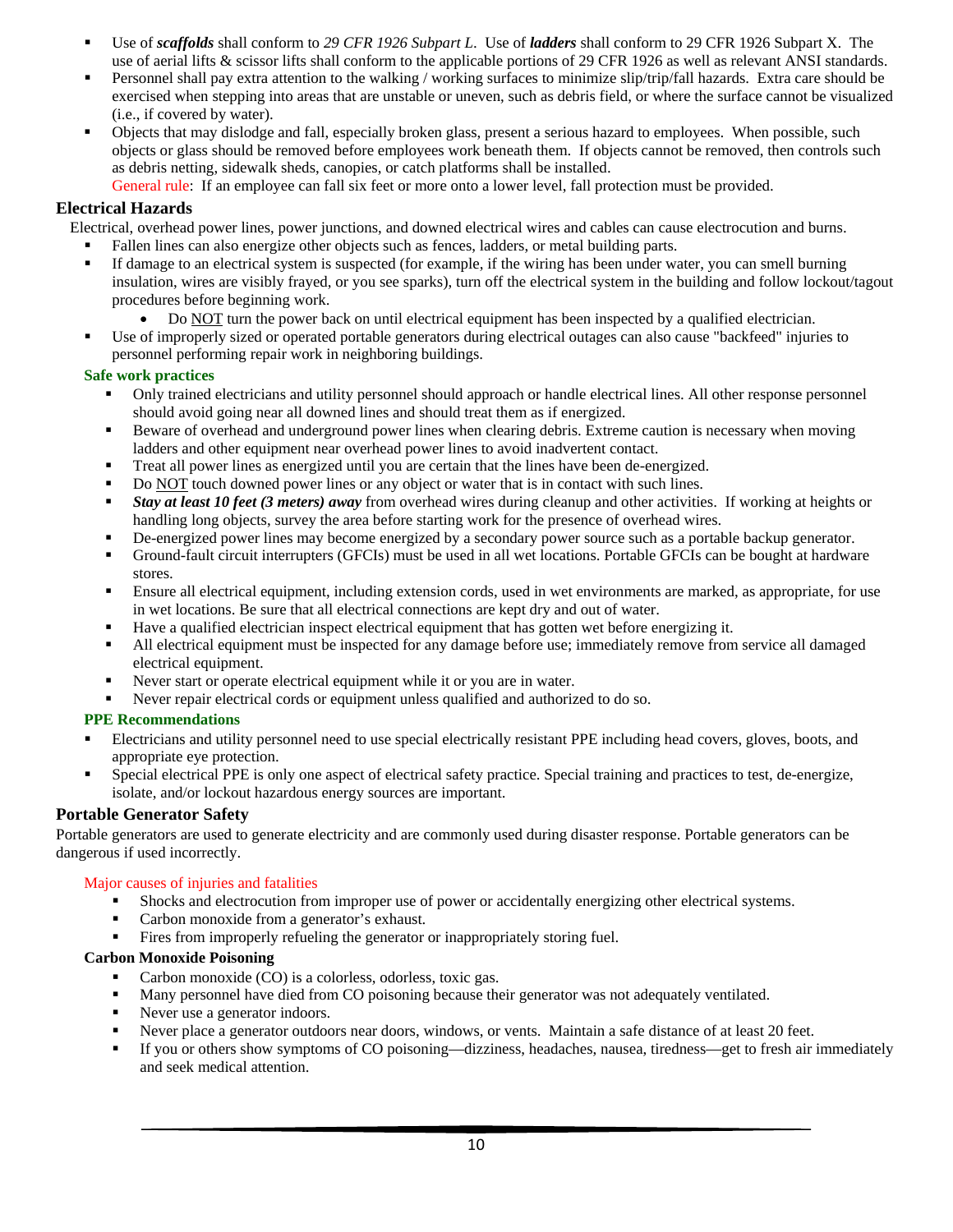- Use of *scaffolds* shall conform to *29 CFR 1926 Subpart L*. Use of *ladders* shall conform to 29 CFR 1926 Subpart X. The use of aerial lifts & scissor lifts shall conform to the applicable portions of 29 CFR 1926 as well as relevant ANSI standards.
- Personnel shall pay extra attention to the walking / working surfaces to minimize slip/trip/fall hazards. Extra care should be exercised when stepping into areas that are unstable or uneven, such as debris field, or where the surface cannot be visualized (i.e., if covered by water).
- Objects that may dislodge and fall, especially broken glass, present a serious hazard to employees. When possible, such objects or glass should be removed before employees work beneath them. If objects cannot be removed, then controls such as debris netting, sidewalk sheds, canopies, or catch platforms shall be installed.

General rule: If an employee can fall six feet or more onto a lower level, fall protection must be provided.

## <span id="page-10-0"></span>**Electrical Hazards**

Electrical, overhead power lines, power junctions, and downed electrical wires and cables can cause electrocution and burns.

- Fallen lines can also energize other objects such as fences, ladders, or metal building parts.
- If damage to an electrical system is suspected (for example, if the wiring has been under water, you can smell burning insulation, wires are visibly frayed, or you see sparks), turn off the electrical system in the building and follow lockout/tagout procedures before beginning work.
	- Do NOT turn the power back on until electrical equipment has been inspected by a qualified electrician.
- Use of improperly sized or operated portable generators during electrical outages can also cause "backfeed" injuries to personnel performing repair work in neighboring buildings.

## <span id="page-10-1"></span>**Safe work practices**

- Only trained electricians and utility personnel should approach or handle electrical lines. All other response personnel should avoid going near all downed lines and should treat them as if energized.
- Beware of overhead and underground power lines when clearing debris. Extreme caution is necessary when moving ladders and other equipment near overhead power lines to avoid inadvertent contact.
- Treat all power lines as energized until you are certain that the lines have been de-energized.
- Do NOT touch downed power lines or any object or water that is in contact with such lines.
- *Stay at least 10 feet (3 meters) away* from overhead wires during cleanup and other activities. If working at heights or handling long objects, survey the area before starting work for the presence of overhead wires.
- De-energized power lines may become energized by a secondary power source such as a portable backup generator.
- Ground-fault circuit interrupters (GFCIs) must be used in all wet locations. Portable GFCIs can be bought at hardware stores.
- Ensure all electrical equipment, including extension cords, used in wet environments are marked, as appropriate, for use in wet locations. Be sure that all electrical connections are kept dry and out of water.
- Have a qualified electrician inspect electrical equipment that has gotten wet before energizing it.
- All electrical equipment must be inspected for any damage before use; immediately remove from service all damaged electrical equipment.
- Never start or operate electrical equipment while it or you are in water.
- Never repair electrical cords or equipment unless qualified and authorized to do so.

## <span id="page-10-2"></span>**PPE Recommendations**

- Electricians and utility personnel need to use special electrically resistant PPE including head covers, gloves, boots, and appropriate eye protection.
- Special electrical PPE is only one aspect of electrical safety practice. Special training and practices to test, de-energize, isolate, and/or lockout hazardous energy sources are important.

## <span id="page-10-3"></span>**Portable Generator Safety**

Portable generators are used to generate electricity and are commonly used during disaster response. Portable generators can be dangerous if used incorrectly.

## Major causes of injuries and fatalities

- Shocks and electrocution from improper use of power or accidentally energizing other electrical systems.
- Carbon monoxide from a generator's exhaust.
- Fires from improperly refueling the generator or inappropriately storing fuel.

## <span id="page-10-4"></span>**Carbon Monoxide Poisoning**

- Carbon monoxide (CO) is a colorless, odorless, toxic gas.
- Many personnel have died from CO poisoning because their generator was not adequately ventilated.
- Never use a generator indoors.
- Never place a generator outdoors near doors, windows, or vents. Maintain a safe distance of at least 20 feet.
- If you or others show symptoms of CO poisoning—dizziness, headaches, nausea, tiredness—get to fresh air immediately and seek medical attention.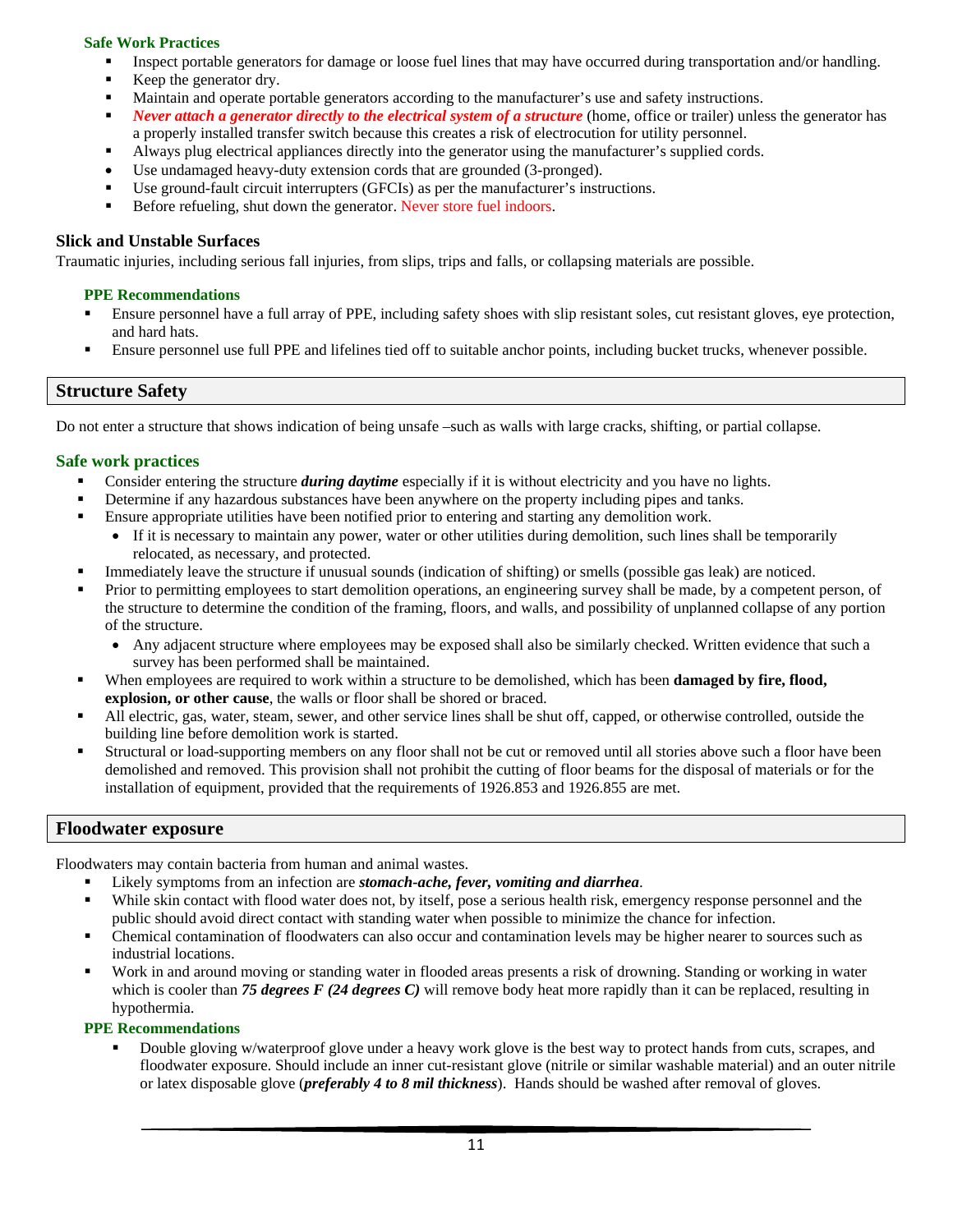## <span id="page-11-0"></span>**Safe Work Practices**

- Inspect portable generators for damage or loose fuel lines that may have occurred during transportation and/or handling.
- Keep the generator dry.
- Maintain and operate portable generators according to the manufacturer's use and safety instructions.
- **Never attach a generator directly to the electrical system of a structure** (home, office or trailer) unless the generator has a properly installed transfer switch because this creates a risk of electrocution for utility personnel.
- Always plug electrical appliances directly into the generator using the manufacturer's supplied cords.
- Use undamaged heavy-duty extension cords that are grounded (3-pronged).
- Use ground-fault circuit interrupters (GFCIs) as per the manufacturer's instructions.
- Before refueling, shut down the generator. Never store fuel indoors.

## <span id="page-11-1"></span>**Slick and Unstable Surfaces**

<span id="page-11-2"></span>Traumatic injuries, including serious fall injuries, from slips, trips and falls, or collapsing materials are possible.

### **PPE Recommendations**

- Ensure personnel have a full array of PPE, including safety shoes with slip resistant soles, cut resistant gloves, eye protection, and hard hats.
- Ensure personnel use full PPE and lifelines tied off to suitable anchor points, including bucket trucks, whenever possible.

## <span id="page-11-3"></span>**Structure Safety**

Do not enter a structure that shows indication of being unsafe –such as walls with large cracks, shifting, or partial collapse.

## <span id="page-11-4"></span>**Safe work practices**

- Consider entering the structure *during daytime* especially if it is without electricity and you have no lights.
- Determine if any hazardous substances have been anywhere on the property including pipes and tanks.
- Ensure appropriate utilities have been notified prior to entering and starting any demolition work.
	- If it is necessary to maintain any power, water or other utilities during demolition, such lines shall be temporarily relocated, as necessary, and protected.
- Immediately leave the structure if unusual sounds (indication of shifting) or smells (possible gas leak) are noticed.
- Prior to permitting employees to start demolition operations, an engineering survey shall be made, by a competent person, of the structure to determine the condition of the framing, floors, and walls, and possibility of unplanned collapse of any portion of the structure.
	- Any adjacent structure where employees may be exposed shall also be similarly checked. Written evidence that such a survey has been performed shall be maintained.
- When employees are required to work within a structure to be demolished, which has been **damaged by fire, flood, explosion, or other cause**, the walls or floor shall be shored or braced.
- All electric, gas, water, steam, sewer, and other service lines shall be shut off, capped, or otherwise controlled, outside the building line before demolition work is started.
- Structural or load-supporting members on any floor shall not be cut or removed until all stories above such a floor have been demolished and removed. This provision shall not prohibit the cutting of floor beams for the disposal of materials or for the installation of equipment, provided that the requirements of 1926.853 and 1926.855 are met.

## <span id="page-11-5"></span>**Floodwater exposure**

Floodwaters may contain bacteria from human and animal wastes.

- Likely symptoms from an infection are *stomach-ache, fever, vomiting and diarrhea*.
- While skin contact with flood water does not, by itself, pose a serious health risk, emergency response personnel and the public should avoid direct contact with standing water when possible to minimize the chance for infection.
- Chemical contamination of floodwaters can also occur and contamination levels may be higher nearer to sources such as industrial locations.
- Work in and around moving or standing water in flooded areas presents a risk of drowning. Standing or working in water which is cooler than **75 degrees F** (24 degrees C) will remove body heat more rapidly than it can be replaced, resulting in hypothermia.

#### <span id="page-11-6"></span>**PPE Recommendations**

 Double gloving w/waterproof glove under a heavy work glove is the best way to protect hands from cuts, scrapes, and floodwater exposure. Should include an inner cut-resistant glove (nitrile or similar washable material) and an outer nitrile or latex disposable glove (*preferably 4 to 8 mil thickness*). Hands should be washed after removal of gloves.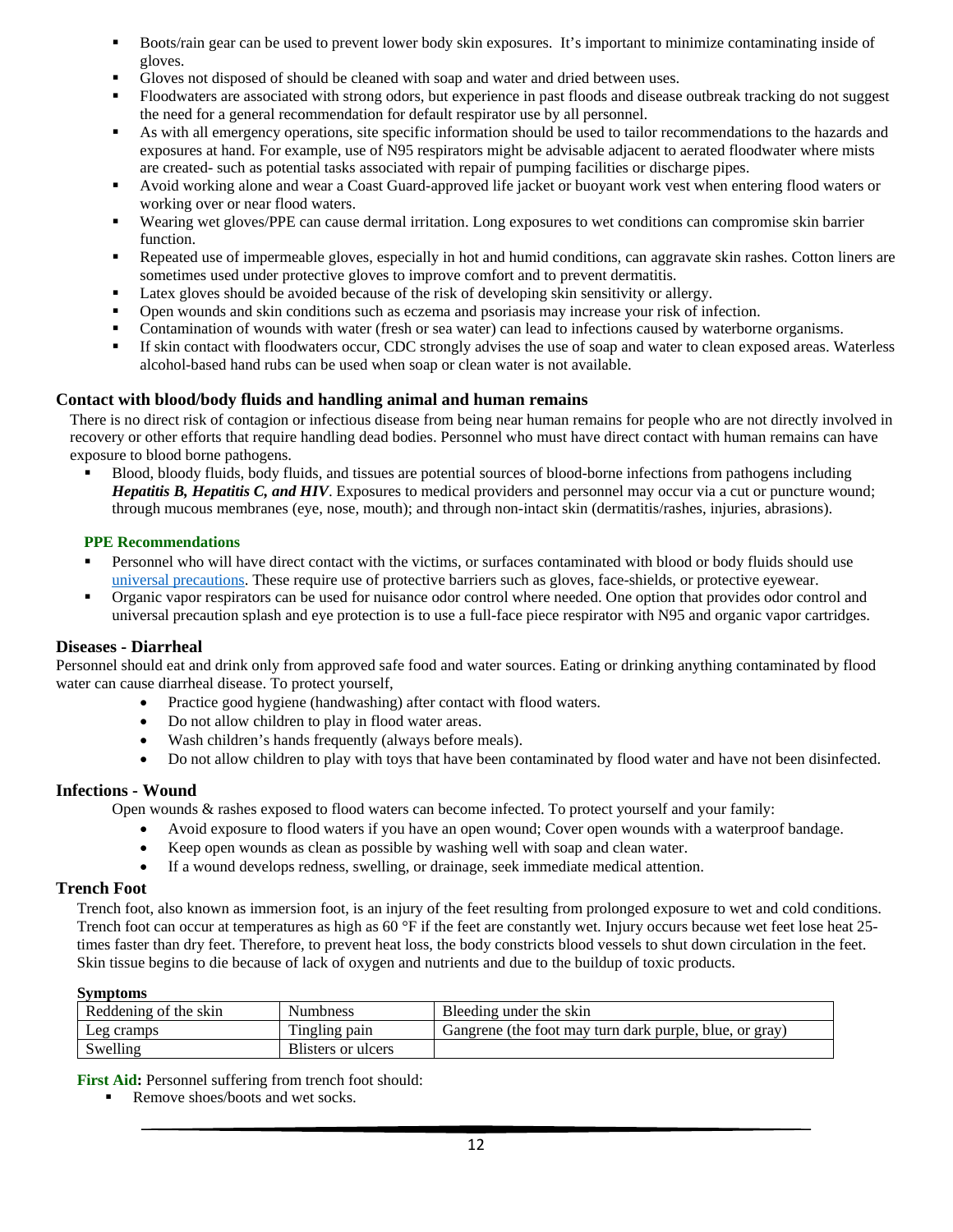- Boots/rain gear can be used to prevent lower body skin exposures. It's important to minimize contaminating inside of gloves.
- Gloves not disposed of should be cleaned with soap and water and dried between uses.
- Floodwaters are associated with strong odors, but experience in past floods and disease outbreak tracking do not suggest the need for a general recommendation for default respirator use by all personnel.
- As with all emergency operations, site specific information should be used to tailor recommendations to the hazards and exposures at hand. For example, use of N95 respirators might be advisable adjacent to aerated floodwater where mists are created- such as potential tasks associated with repair of pumping facilities or discharge pipes.
- Avoid working alone and wear a Coast Guard-approved life jacket or buoyant work vest when entering flood waters or working over or near flood waters.
- Wearing wet gloves/PPE can cause dermal irritation. Long exposures to wet conditions can compromise skin barrier function.
- Repeated use of impermeable gloves, especially in hot and humid conditions, can aggravate skin rashes. Cotton liners are sometimes used under protective gloves to improve comfort and to prevent dermatitis.
- Latex gloves should be avoided because of the risk of developing skin sensitivity or allergy.
- Open wounds and skin conditions such as eczema and psoriasis may increase your risk of infection.
- Contamination of wounds with water (fresh or sea water) can lead to infections caused by waterborne organisms.
- If skin contact with floodwaters occur, CDC strongly advises the use of soap and water to clean exposed areas. Waterless alcohol-based hand rubs can be used when soap or clean water is not available.

### <span id="page-12-0"></span>**Contact with blood/body fluids and handling animal and human remains**

There is no direct risk of contagion or infectious disease from being near human remains for people who are not directly involved in recovery or other efforts that require handling dead bodies. Personnel who must have direct contact with human remains can have exposure to blood borne pathogens.

 Blood, bloody fluids, body fluids, and tissues are potential sources of blood-borne infections from pathogens including *Hepatitis B, Hepatitis C, and HIV*. Exposures to medical providers and personnel may occur via a cut or puncture wound; through mucous membranes (eye, nose, mouth); and through non-intact skin (dermatitis/rashes, injuries, abrasions).

#### <span id="page-12-1"></span>**PPE Recommendations**

- **Personnel who will have direct contact with the victims, or surfaces contaminated with blood or body fluids should use** [universal precautions.](http://www.cdc.gov/ncidod/dhqp/bp_universal_precautions.html) These require use of protective barriers such as gloves, face-shields, or protective eyewear.
- Organic vapor respirators can be used for nuisance odor control where needed. One option that provides odor control and universal precaution splash and eye protection is to use a full-face piece respirator with N95 and organic vapor cartridges.

#### <span id="page-12-2"></span>**Diseases - Diarrheal**

Personnel should eat and drink only from approved safe food and water sources. Eating or drinking anything contaminated by flood water can cause diarrheal disease. To protect yourself,

- Practice good hygiene (handwashing) after contact with flood waters.
- Do not allow children to play in flood water areas.
- Wash children's hands frequently (always before meals).
- Do not allow children to play with toys that have been contaminated by flood water and have not been disinfected.

#### <span id="page-12-3"></span>**Infections - Wound**

Open wounds & rashes exposed to flood waters can become infected. To protect yourself and your family:

- Avoid exposure to flood waters if you have an open wound; Cover open wounds with a waterproof bandage.
- Keep open wounds as clean as possible by washing well with soap and clean water.
- If a wound develops redness, swelling, or drainage, seek immediate medical attention.

#### <span id="page-12-4"></span>**Trench Foot**

Trench foot, also known as immersion foot, is an injury of the feet resulting from prolonged exposure to wet and cold conditions. Trench foot can occur at temperatures as high as 60 °F if the feet are constantly wet. Injury occurs because wet feet lose heat 25times faster than dry feet. Therefore, to prevent heat loss, the body constricts blood vessels to shut down circulation in the feet. Skin tissue begins to die because of lack of oxygen and nutrients and due to the buildup of toxic products.

#### **Symptoms**

| Reddening of the skin | <b>Numbness</b>    | Bleeding under the skin                                 |
|-----------------------|--------------------|---------------------------------------------------------|
| Leg cramps            | Tingling pain      | Gangrene (the foot may turn dark purple, blue, or gray) |
| Swelling              | Blisters or ulcers |                                                         |

First Aid: Personnel suffering from trench foot should:

Remove shoes/boots and wet socks.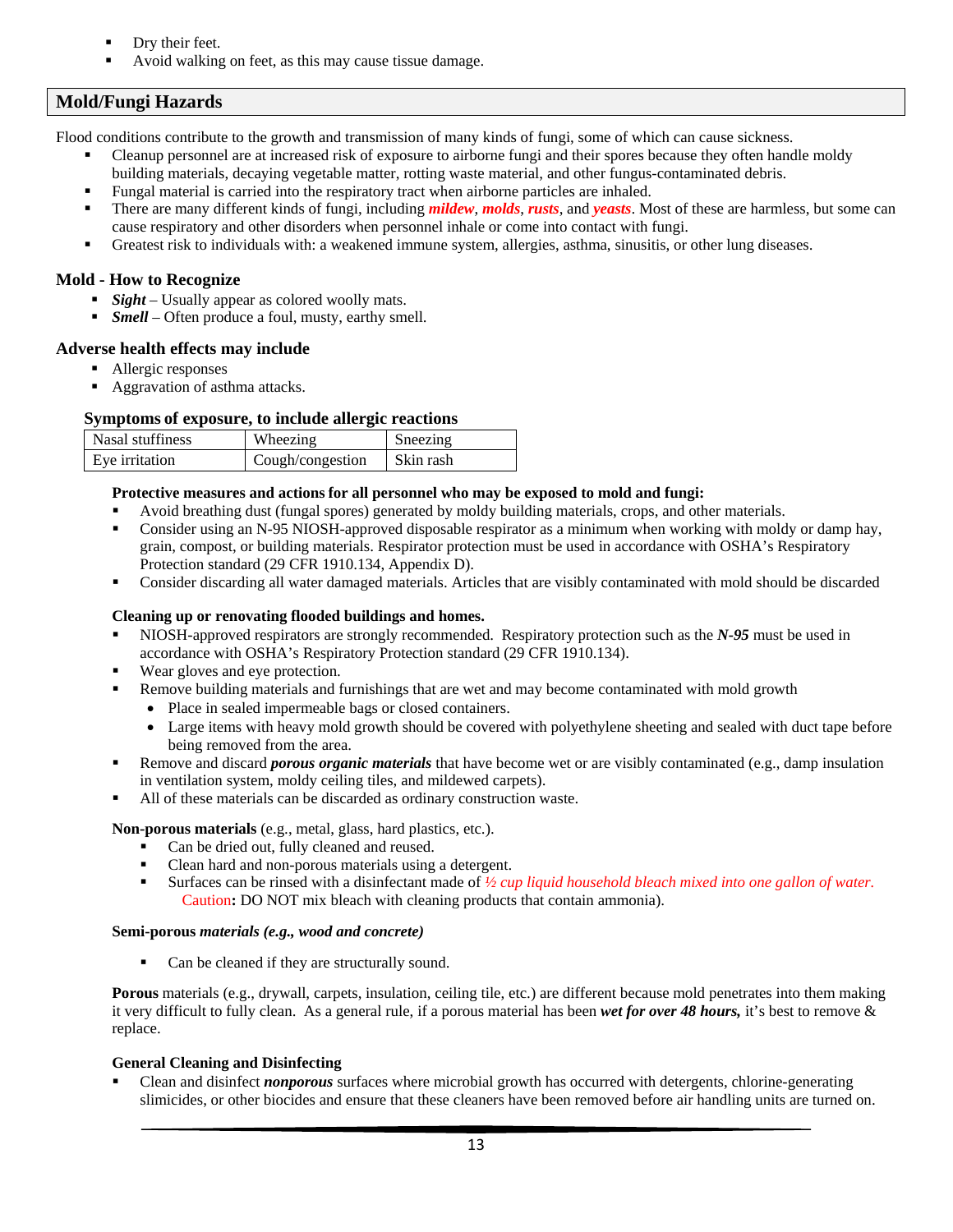- Dry their feet.
- Avoid walking on feet, as this may cause tissue damage.

## <span id="page-13-0"></span>**Mold/Fungi Hazards**

Flood conditions contribute to the growth and transmission of many kinds of fungi, some of which can cause sickness.

- Cleanup personnel are at increased risk of exposure to airborne fungi and their spores because they often handle moldy building materials, decaying vegetable matter, rotting waste material, and other fungus-contaminated debris.
- Fungal material is carried into the respiratory tract when airborne particles are inhaled.
- There are many different kinds of fungi, including *mildew*, *molds*, *rusts*, and *yeasts*. Most of these are harmless, but some can cause respiratory and other disorders when personnel inhale or come into contact with fungi.
- Greatest risk to individuals with: a weakened immune system, allergies, asthma, sinusitis, or other lung diseases.

### <span id="page-13-1"></span>**Mold - How to Recognize**

- **Sight** Usually appear as colored woolly mats.
- **Figure 1** Smell Often produce a foul, musty, earthy smell.

#### <span id="page-13-2"></span>**Adverse health effects may include**

- Allergic responses
- Aggravation of asthma attacks.

### **Symptoms of exposure, to include allergic reactions**

| Nasal stuffiness | Wheezing         | Sneezing  |
|------------------|------------------|-----------|
| Eye irritation   | Cough/congestion | Skin rash |

#### <span id="page-13-3"></span>**Protective measures and actions for all personnel who may be exposed to mold and fungi:**

- Avoid breathing dust (fungal spores) generated by moldy building materials, crops, and other materials.
- Consider using an N-95 NIOSH-approved disposable respirator as a minimum when working with moldy or damp hay, grain, compost, or building materials. Respirator protection must be used in accordance with OSHA's Respiratory Protection standard (29 CFR 1910.134, Appendix D).
- Consider discarding all water damaged materials. Articles that are visibly contaminated with mold should be discarded

#### <span id="page-13-4"></span>**Cleaning up or renovating flooded buildings and homes.**

- NIOSH-approved respirators are strongly recommended. Respiratory protection such as the *N-95* must be used in accordance with OSHA's Respiratory Protection standard (29 CFR 1910.134).
- Wear gloves and eye protection.
- Remove building materials and furnishings that are wet and may become contaminated with mold growth
	- Place in sealed impermeable bags or closed containers.
	- Large items with heavy mold growth should be covered with polyethylene sheeting and sealed with duct tape before being removed from the area.
- Remove and discard *porous organic materials* that have become wet or are visibly contaminated (e.g., damp insulation in ventilation system, moldy ceiling tiles, and mildewed carpets).
- All of these materials can be discarded as ordinary construction waste.

#### **Non-porous materials** (e.g., metal, glass, hard plastics, etc.).

- Can be dried out, fully cleaned and reused.
- Clean hard and non-porous materials using a detergent.
- Surfaces can be rinsed with a disinfectant made of <sup>1</sup>/<sub>2</sub> cup liquid household bleach mixed into one gallon of water. Caution**:** DO NOT mix bleach with cleaning products that contain ammonia).

#### **Semi-porous** *materials (e.g., wood and concrete)*

• Can be cleaned if they are structurally sound.

**Porous** materials (e.g., drywall, carpets, insulation, ceiling tile, etc.) are different because mold penetrates into them making it very difficult to fully clean. As a general rule, if a porous material has been *wet for over 48 hours,* it's best to remove & replace.

#### <span id="page-13-5"></span>**General Cleaning and Disinfecting**

 Clean and disinfect *nonporous* surfaces where microbial growth has occurred with detergents, chlorine-generating slimicides, or other biocides and ensure that these cleaners have been removed before air handling units are turned on.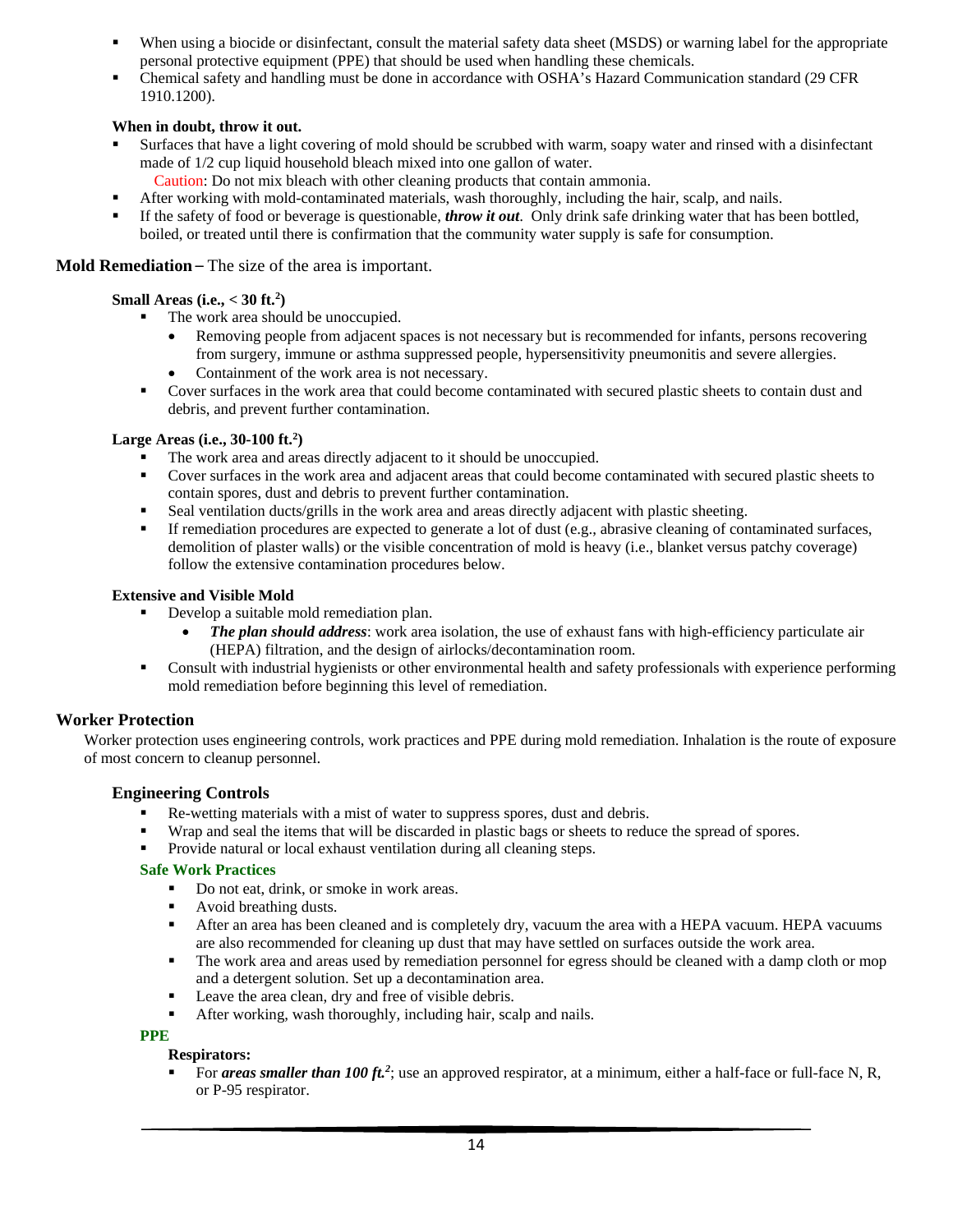- When using a biocide or disinfectant, consult the material safety data sheet (MSDS) or warning label for the appropriate personal protective equipment (PPE) that should be used when handling these chemicals.
- Chemical safety and handling must be done in accordance with OSHA's Hazard Communication standard (29 CFR 1910.1200).

## **When in doubt, throw it out.**

- Surfaces that have a light covering of mold should be scrubbed with warm, soapy water and rinsed with a disinfectant made of 1/2 cup liquid household bleach mixed into one gallon of water.
	- Caution: Do not mix bleach with other cleaning products that contain ammonia.
- After working with mold-contaminated materials, wash thoroughly, including the hair, scalp, and nails.
- If the safety of food or beverage is questionable, *throw it out*. Only drink safe drinking water that has been bottled, boiled, or treated until there is confirmation that the community water supply is safe for consumption.

#### <span id="page-14-0"></span>**Mold Remediation** – The size of the area is important.

### **Small Areas (i.e., < 30 ft.2 )**

- The work area should be unoccupied.
	- Removing people from adjacent spaces is not necessary but is recommended for infants, persons recovering from surgery, immune or asthma suppressed people, hypersensitivity pneumonitis and severe allergies.
	- Containment of the work area is not necessary.
- Cover surfaces in the work area that could become contaminated with secured plastic sheets to contain dust and debris, and prevent further contamination.

## **Large Areas (i.e., 30-100 ft.2 )**

- The work area and areas directly adjacent to it should be unoccupied.
- Cover surfaces in the work area and adjacent areas that could become contaminated with secured plastic sheets to contain spores, dust and debris to prevent further contamination.
- Seal ventilation ducts/grills in the work area and areas directly adjacent with plastic sheeting.
- If remediation procedures are expected to generate a lot of dust (e.g., abrasive cleaning of contaminated surfaces, demolition of plaster walls) or the visible concentration of mold is heavy (i.e., blanket versus patchy coverage) follow the extensive contamination procedures below.

#### **Extensive and Visible Mold**

- Develop a suitable mold remediation plan.
	- *The plan should address*: work area isolation, the use of exhaust fans with high-efficiency particulate air (HEPA) filtration, and the design of airlocks/decontamination room.
- Consult with industrial hygienists or other environmental health and safety professionals with experience performing mold remediation before beginning this level of remediation.

## <span id="page-14-1"></span>**Worker Protection**

Worker protection uses engineering controls, work practices and PPE during mold remediation. Inhalation is the route of exposure of most concern to cleanup personnel.

#### **Engineering Controls**

- Re-wetting materials with a mist of water to suppress spores, dust and debris.
- Wrap and seal the items that will be discarded in plastic bags or sheets to reduce the spread of spores.
- Provide natural or local exhaust ventilation during all cleaning steps.

#### **Safe Work Practices**

- Do not eat, drink, or smoke in work areas.
- Avoid breathing dusts.
- After an area has been cleaned and is completely dry, vacuum the area with a HEPA vacuum. HEPA vacuums are also recommended for cleaning up dust that may have settled on surfaces outside the work area.
- The work area and areas used by remediation personnel for egress should be cleaned with a damp cloth or mop and a detergent solution. Set up a decontamination area.
- **Leave the area clean, dry and free of visible debris.**
- After working, wash thoroughly, including hair, scalp and nails.

#### **PPE**

#### **Respirators:**

For **areas smaller than 100 ft.**<sup>2</sup>; use an approved respirator, at a minimum, either a half-face or full-face N, R, or P-95 respirator.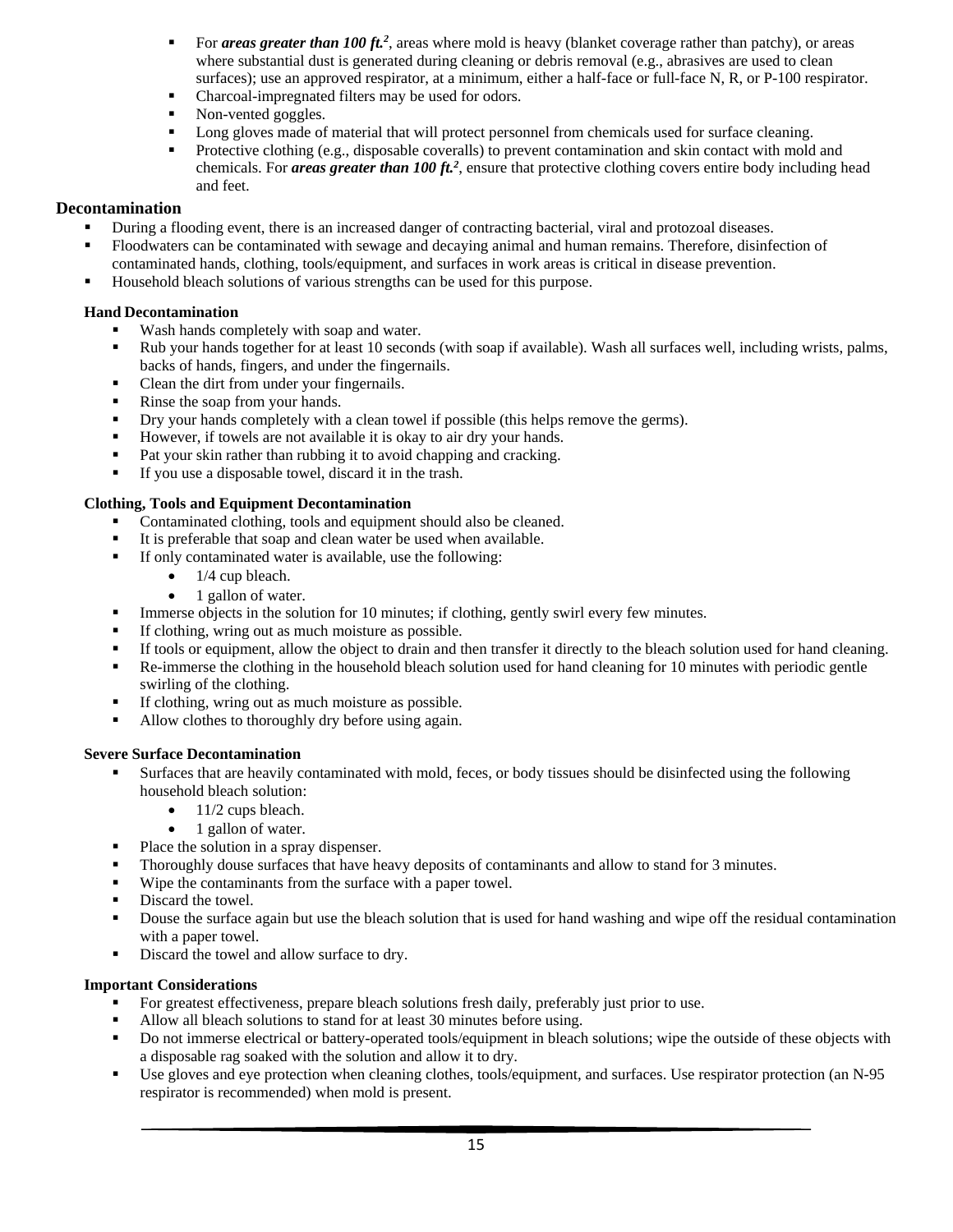- For *areas greater than 100 ft.<sup>2</sup>*, areas where mold is heavy (blanket coverage rather than patchy), or areas where substantial dust is generated during cleaning or debris removal (e.g., abrasives are used to clean surfaces); use an approved respirator, at a minimum, either a half-face or full-face N, R, or P-100 respirator.
- Charcoal-impregnated filters may be used for odors.
- Non-vented goggles.
- Long gloves made of material that will protect personnel from chemicals used for surface cleaning.
- **Protective clothing (e.g., disposable coveralls) to prevent contamination and skin contact with mold and** chemicals. For *areas greater than 100 ft.2* , ensure that protective clothing covers entire body including head and feet.

## <span id="page-15-0"></span>**Decontamination**

- During a flooding event, there is an increased danger of contracting bacterial, viral and protozoal diseases.
- Floodwaters can be contaminated with sewage and decaying animal and human remains. Therefore, disinfection of contaminated hands, clothing, tools/equipment, and surfaces in work areas is critical in disease prevention.
- Household bleach solutions of various strengths can be used for this purpose.

### <span id="page-15-1"></span>**Hand Decontamination**

- Wash hands completely with soap and water.
- Rub your hands together for at least 10 seconds (with soap if available). Wash all surfaces well, including wrists, palms, backs of hands, fingers, and under the fingernails.
- Clean the dirt from under your fingernails.
- Rinse the soap from your hands.
- Dry your hands completely with a clean towel if possible (this helps remove the germs).
- However, if towels are not available it is okay to air dry your hands.
- Pat your skin rather than rubbing it to avoid chapping and cracking.
- If you use a disposable towel, discard it in the trash.

### <span id="page-15-2"></span>**Clothing, Tools and Equipment Decontamination**

- Contaminated clothing, tools and equipment should also be cleaned.
- It is preferable that soap and clean water be used when available.
- If only contaminated water is available, use the following:
	- $\bullet$  1/4 cup bleach.
	- 1 gallon of water.
- Immerse objects in the solution for 10 minutes; if clothing, gently swirl every few minutes.
- If clothing, wring out as much moisture as possible.
- If tools or equipment, allow the object to drain and then transfer it directly to the bleach solution used for hand cleaning.
- Re-immerse the clothing in the household bleach solution used for hand cleaning for 10 minutes with periodic gentle swirling of the clothing.
- If clothing, wring out as much moisture as possible.
- Allow clothes to thoroughly dry before using again.

#### <span id="page-15-3"></span>**Severe Surface Decontamination**

- Surfaces that are heavily contaminated with mold, feces, or body tissues should be disinfected using the following household bleach solution:
	- $\bullet$  11/2 cups bleach.
	- 1 gallon of water.
- Place the solution in a spray dispenser.
- Thoroughly douse surfaces that have heavy deposits of contaminants and allow to stand for 3 minutes.
- Wipe the contaminants from the surface with a paper towel.
- Discard the towel.
- Douse the surface again but use the bleach solution that is used for hand washing and wipe off the residual contamination with a paper towel.
- Discard the towel and allow surface to dry.

#### **Important Considerations**

- For greatest effectiveness, prepare bleach solutions fresh daily, preferably just prior to use.
- Allow all bleach solutions to stand for at least 30 minutes before using.
- Do not immerse electrical or battery-operated tools/equipment in bleach solutions; wipe the outside of these objects with a disposable rag soaked with the solution and allow it to dry.
- Use gloves and eye protection when cleaning clothes, tools/equipment, and surfaces. Use respirator protection (an N-95 respirator is recommended) when mold is present.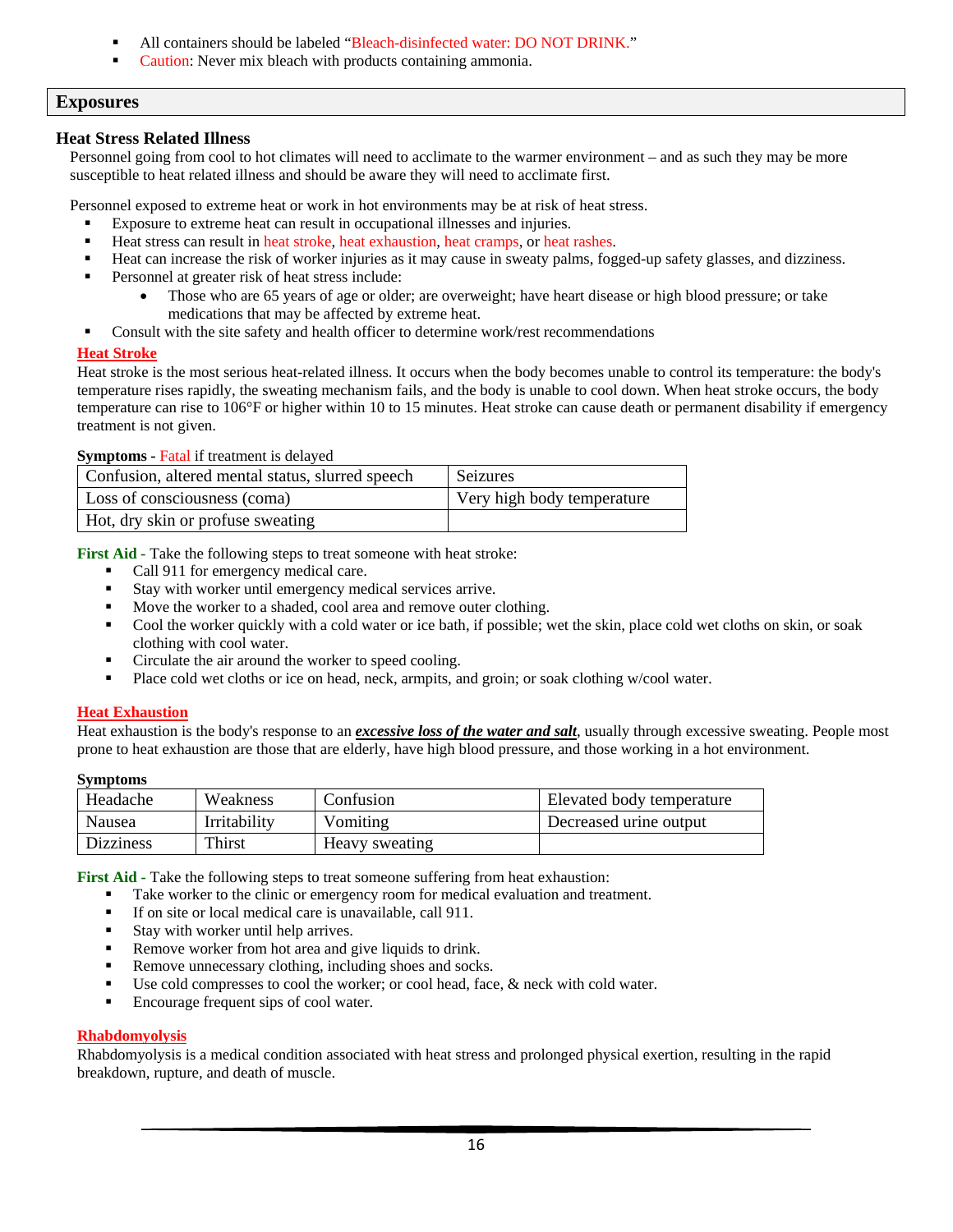- All containers should be labeled "Bleach-disinfected water: DO NOT DRINK."
- Caution: Never mix bleach with products containing ammonia.

### <span id="page-16-0"></span>**Exposures**

#### <span id="page-16-1"></span>**Heat Stress Related Illness**

Personnel going from cool to hot climates will need to acclimate to the warmer environment – and as such they may be more susceptible to heat related illness and should be aware they will need to acclimate first.

Personnel exposed to extreme heat or work in hot environments may be at risk of heat stress.

- Exposure to extreme heat can result in occupational illnesses and injuries.
- Heat stress can result in heat stroke, heat exhaustion, heat cramps, or heat rashes.
- Heat can increase the risk of worker injuries as it may cause in sweaty palms, fogged-up safety glasses, and dizziness.
- Personnel at greater risk of heat stress include:
	- Those who are 65 years of age or older; are overweight; have heart disease or high blood pressure; or take medications that may be affected by extreme heat.
- Consult with the site safety and health officer to determine work/rest recommendations

#### <span id="page-16-2"></span>**Heat Stroke**

Heat stroke is the most serious heat-related illness. It occurs when the body becomes unable to control its temperature: the body's temperature rises rapidly, the sweating mechanism fails, and the body is unable to cool down. When heat stroke occurs, the body temperature can rise to 106°F or higher within 10 to 15 minutes. Heat stroke can cause death or permanent disability if emergency treatment is not given.

#### **Symptoms -** Fatal if treatment is delayed

| Confusion, altered mental status, slurred speech | Seizures                   |
|--------------------------------------------------|----------------------------|
| Loss of consciousness (coma)                     | Very high body temperature |
| Hot, dry skin or profuse sweating                |                            |

**First Aid -** Take the following steps to treat someone with heat stroke:

- Call 911 for emergency medical care.
- Stay with worker until emergency medical services arrive.
- Move the worker to a shaded, cool area and remove outer clothing.
- Cool the worker quickly with a cold water or ice bath, if possible; wet the skin, place cold wet cloths on skin, or soak clothing with cool water.
- Circulate the air around the worker to speed cooling.
- **Place cold wet cloths or ice on head, neck, armpits, and groin; or soak clothing w/cool water.**

#### <span id="page-16-3"></span>**Heat Exhaustion**

Heat exhaustion is the body's response to an *excessive loss of the water and salt*, usually through excessive sweating. People most prone to heat exhaustion are those that are elderly, have high blood pressure, and those working in a hot environment.

#### **Symptoms**

| Headache         | Weakness     | Confusion      | Elevated body temperature |
|------------------|--------------|----------------|---------------------------|
| Nausea           | Irritability | Vomiting       | Decreased urine output    |
| <b>Dizziness</b> | Thirst       | Heavy sweating |                           |

**First Aid -** Take the following steps to treat someone suffering from heat exhaustion:

- Take worker to the clinic or emergency room for medical evaluation and treatment.
- If on site or local medical care is unavailable, call 911.
- Stay with worker until help arrives.
- Remove worker from hot area and give liquids to drink.
- Remove unnecessary clothing, including shoes and socks.
- Use cold compresses to cool the worker; or cool head, face, & neck with cold water.
- **Encourage frequent sips of cool water.**

#### <span id="page-16-4"></span>**Rhabdomyolysis**

Rhabdomyolysis is a medical condition associated with heat stress and prolonged physical exertion, resulting in the rapid breakdown, rupture, and death of muscle.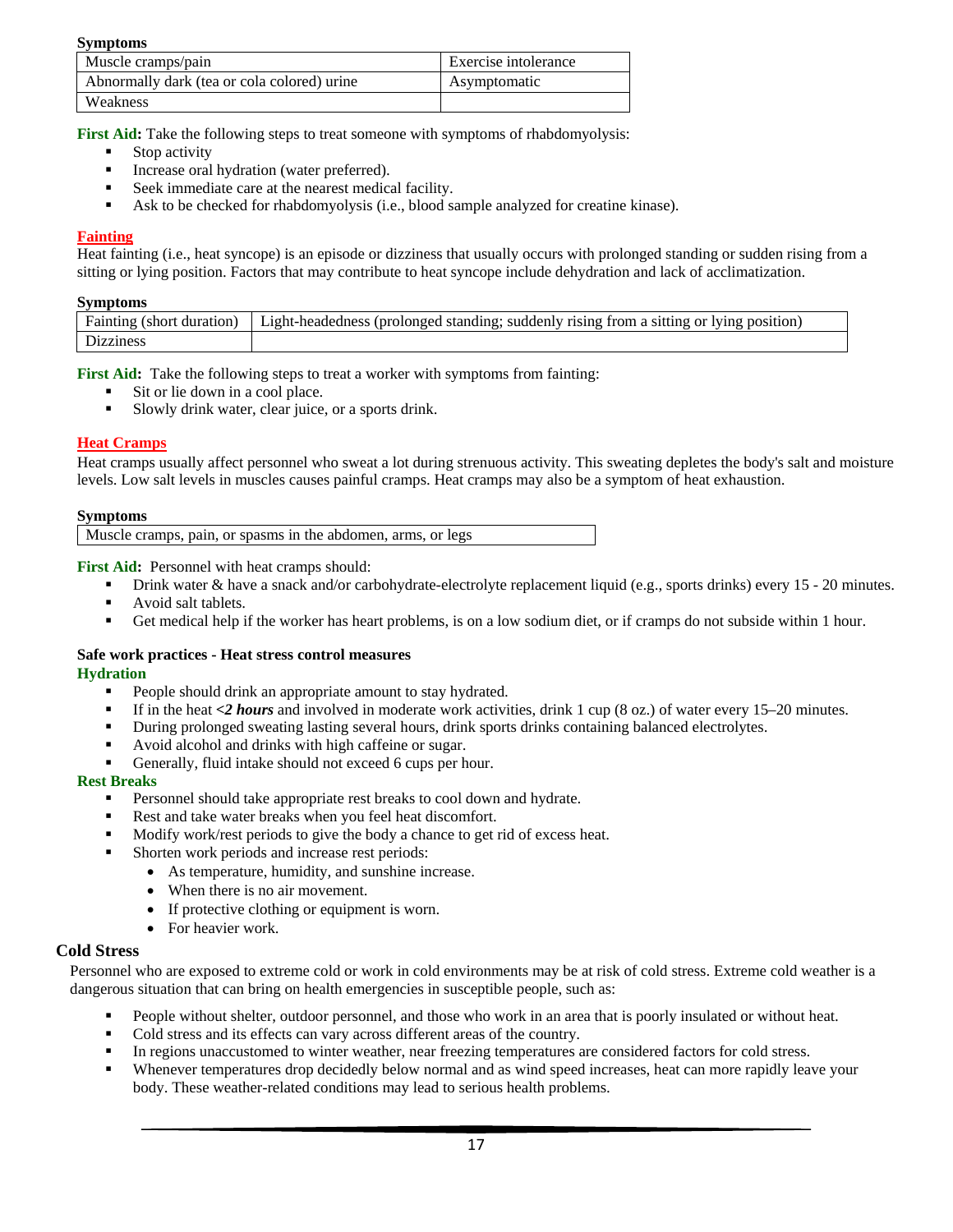#### **Symptoms**

| Muscle cramps/pain                          | Exercise intolerance |
|---------------------------------------------|----------------------|
| Abnormally dark (tea or cola colored) urine | Asymptomatic         |
| Weakness                                    |                      |

**First Aid:** Take the following steps to treat someone with symptoms of rhabdomyolysis:

- Stop activity
- Increase oral hydration (water preferred).
- Seek immediate care at the nearest medical facility.
- Ask to be checked for rhabdomyolysis (i.e., blood sample analyzed for creatine kinase).

#### <span id="page-17-0"></span>**Fainting**

Heat fainting (i.e., heat syncope) is an episode or dizziness that usually occurs with prolonged standing or sudden rising from a sitting or lying position. Factors that may contribute to heat syncope include dehydration and lack of acclimatization.

#### **Symptoms**

| $\sim$ , $\sim$ , $\sim$ $\sim$ $\sim$ $\sim$ |                                                                                            |
|-----------------------------------------------|--------------------------------------------------------------------------------------------|
| Fainting<br>: duration :<br>'short            | (prolonged standing: suddenly rising from a sitting or lying position)<br>Light-headedness |
|                                               |                                                                                            |

**First Aid:** Take the following steps to treat a worker with symptoms from fainting:

- Sit or lie down in a cool place.
- Slowly drink water, clear juice, or a sports drink.

#### <span id="page-17-1"></span>**Heat Cramps**

Heat cramps usually affect personnel who sweat a lot during strenuous activity. This sweating depletes the body's salt and moisture levels. Low salt levels in muscles causes painful cramps. Heat cramps may also be a symptom of heat exhaustion.

#### **Symptoms**

Muscle cramps, pain, or spasms in the abdomen, arms, or legs

**First Aid:** Personnel with heat cramps should:

- **Prink water & have a snack and/or carbohydrate-electrolyte replacement liquid (e.g., sports drinks) every 15 20 minutes.**
- **Avoid salt tablets.**
- Get medical help if the worker has heart problems, is on a low sodium diet, or if cramps do not subside within 1 hour.

#### <span id="page-17-2"></span>**Safe work practices - Heat stress control measures Hydration**

- - **People should drink an appropriate amount to stay hydrated.** If in the heat <2 *hours* and involved in moderate work activities, drink 1 cup (8 oz.) of water every 15–20 minutes.
	- During prolonged sweating lasting several hours, drink sports drinks containing balanced electrolytes.
	- Avoid alcohol and drinks with high caffeine or sugar.
	- Generally, fluid intake should not exceed 6 cups per hour.

#### **Rest Breaks**

- **Personnel should take appropriate rest breaks to cool down and hydrate.**
- Rest and take water breaks when you feel heat discomfort.
- Modify work/rest periods to give the body a chance to get rid of excess heat.
- Shorten work periods and increase rest periods:
	- As temperature, humidity, and sunshine increase.
	- When there is no air movement.
	- If protective clothing or equipment is worn.
	- For heavier work.

#### <span id="page-17-3"></span>**Cold Stress**

Personnel who are exposed to extreme cold or work in cold environments may be at risk of cold stress. Extreme cold weather is a dangerous situation that can bring on health emergencies in susceptible people, such as:

- People without shelter, outdoor personnel, and those who work in an area that is poorly insulated or without heat.
- Cold stress and its effects can vary across different areas of the country.
- In regions unaccustomed to winter weather, near freezing temperatures are considered factors for cold stress.
- Whenever temperatures drop decidedly below normal and as wind speed increases, heat can more rapidly leave your body. These weather-related conditions may lead to serious health problems.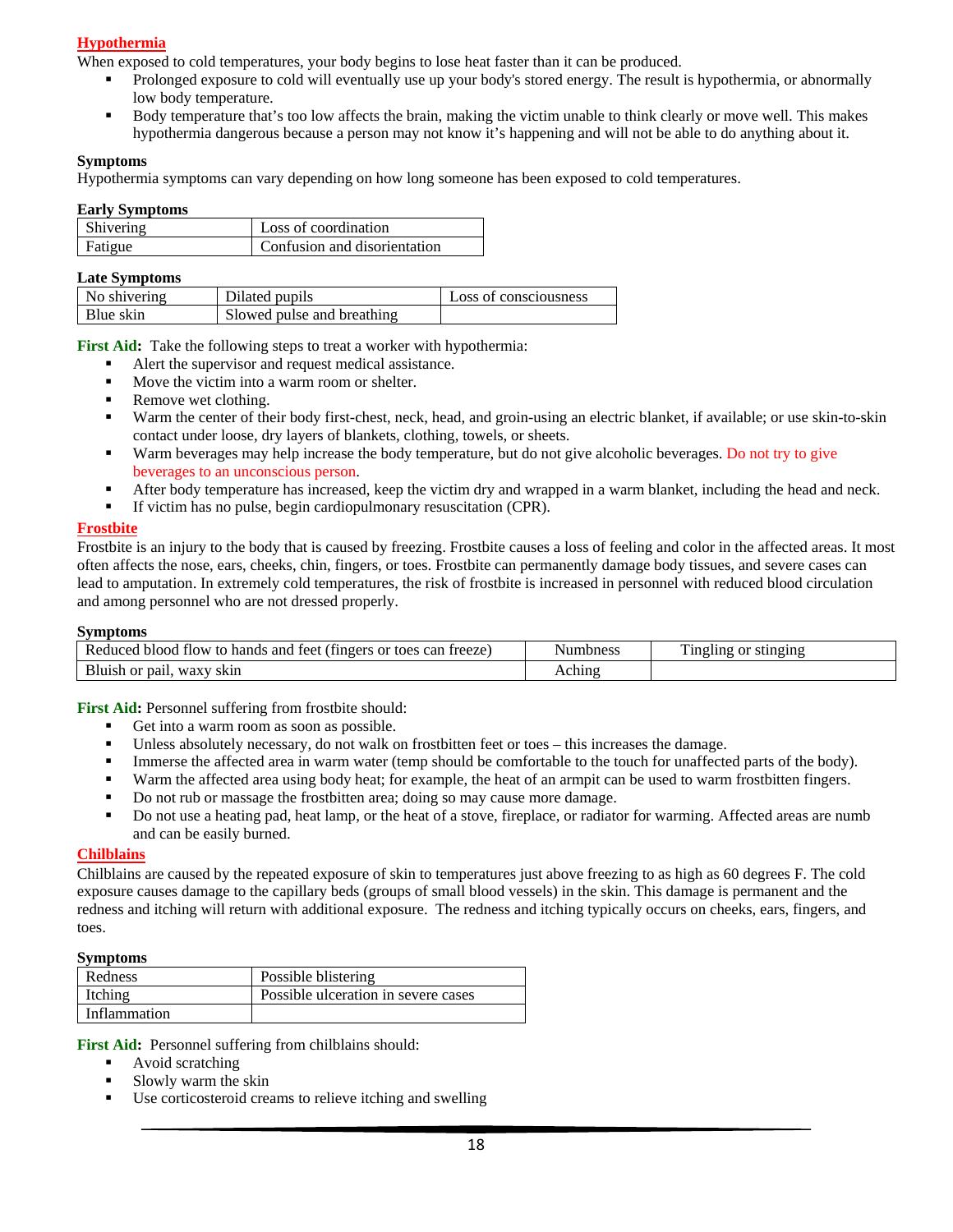## <span id="page-18-0"></span>**Hypothermia**

When exposed to cold temperatures, your body begins to lose heat faster than it can be produced.

- Prolonged exposure to cold will eventually use up your body's stored energy. The result is hypothermia, or abnormally low body temperature.
- Body temperature that's too low affects the brain, making the victim unable to think clearly or move well. This makes hypothermia dangerous because a person may not know it's happening and will not be able to do anything about it.

### **Symptoms**

Hypothermia symptoms can vary depending on how long someone has been exposed to cold temperatures.

#### **Early Symptoms**

| <b>Shivering</b> | Loss of coordination                |
|------------------|-------------------------------------|
| Fatigue          | <b>Confusion and disorientation</b> |

#### **Late Symptoms**

| No shivering | Dilated pupils             | Loss of consciousness |
|--------------|----------------------------|-----------------------|
| Blue skin    | Slowed pulse and breathing |                       |

**First Aid:** Take the following steps to treat a worker with hypothermia:

- Alert the supervisor and request medical assistance.
- Move the victim into a warm room or shelter.
- Remove wet clothing.
- Warm the center of their body first-chest, neck, head, and groin-using an electric blanket, if available; or use skin-to-skin contact under loose, dry layers of blankets, clothing, towels, or sheets.
- Warm beverages may help increase the body temperature, but do not give alcoholic beverages. Do not try to give beverages to an unconscious person.
- After body temperature has increased, keep the victim dry and wrapped in a warm blanket, including the head and neck.
- If victim has no pulse, begin cardiopulmonary resuscitation (CPR).

#### <span id="page-18-1"></span>**Frostbite**

Frostbite is an injury to the body that is caused by freezing. Frostbite causes a loss of feeling and color in the affected areas. It most often affects the nose, ears, cheeks, chin, fingers, or toes. Frostbite can permanently damage body tissues, and severe cases can lead to amputation. In extremely cold temperatures, the risk of frostbite is increased in personnel with reduced blood circulation and among personnel who are not dressed properly.

#### **Symptoms**

| treeze<br>can<br>to hands<br>tingers)<br>Reduced<br>or toes<br>blood<br>and<br>teet<br>flow. | Numbness | Ē<br>' stinging<br>or<br>ingling<br>минг |
|----------------------------------------------------------------------------------------------|----------|------------------------------------------|
| Bluish or<br>⊤pail.<br>. waxy<br>skin                                                        | chino    |                                          |

First Aid: Personnel suffering from frostbite should:

- Get into a warm room as soon as possible.
- Unless absolutely necessary, do not walk on frostbitten feet or toes this increases the damage.
- Immerse the affected area in warm water (temp should be comfortable to the touch for unaffected parts of the body).
- Warm the affected area using body heat; for example, the heat of an armpit can be used to warm frostbitten fingers.
- Do not rub or massage the frostbitten area; doing so may cause more damage.
- Do not use a heating pad, heat lamp, or the heat of a stove, fireplace, or radiator for warming. Affected areas are numb and can be easily burned.

#### <span id="page-18-2"></span>**Chilblains**

Chilblains are caused by the repeated exposure of skin to temperatures just above freezing to as high as 60 degrees F. The cold exposure causes damage to the capillary beds (groups of small blood vessels) in the skin. This damage is permanent and the redness and itching will return with additional exposure. The redness and itching typically occurs on cheeks, ears, fingers, and toes.

#### **Symptoms**

| Redness      | Possible blistering                 |
|--------------|-------------------------------------|
| Itching      | Possible ulceration in severe cases |
| Inflammation |                                     |

First Aid: Personnel suffering from chilblains should:

- Avoid scratching
- Slowly warm the skin
- Use corticosteroid creams to relieve itching and swelling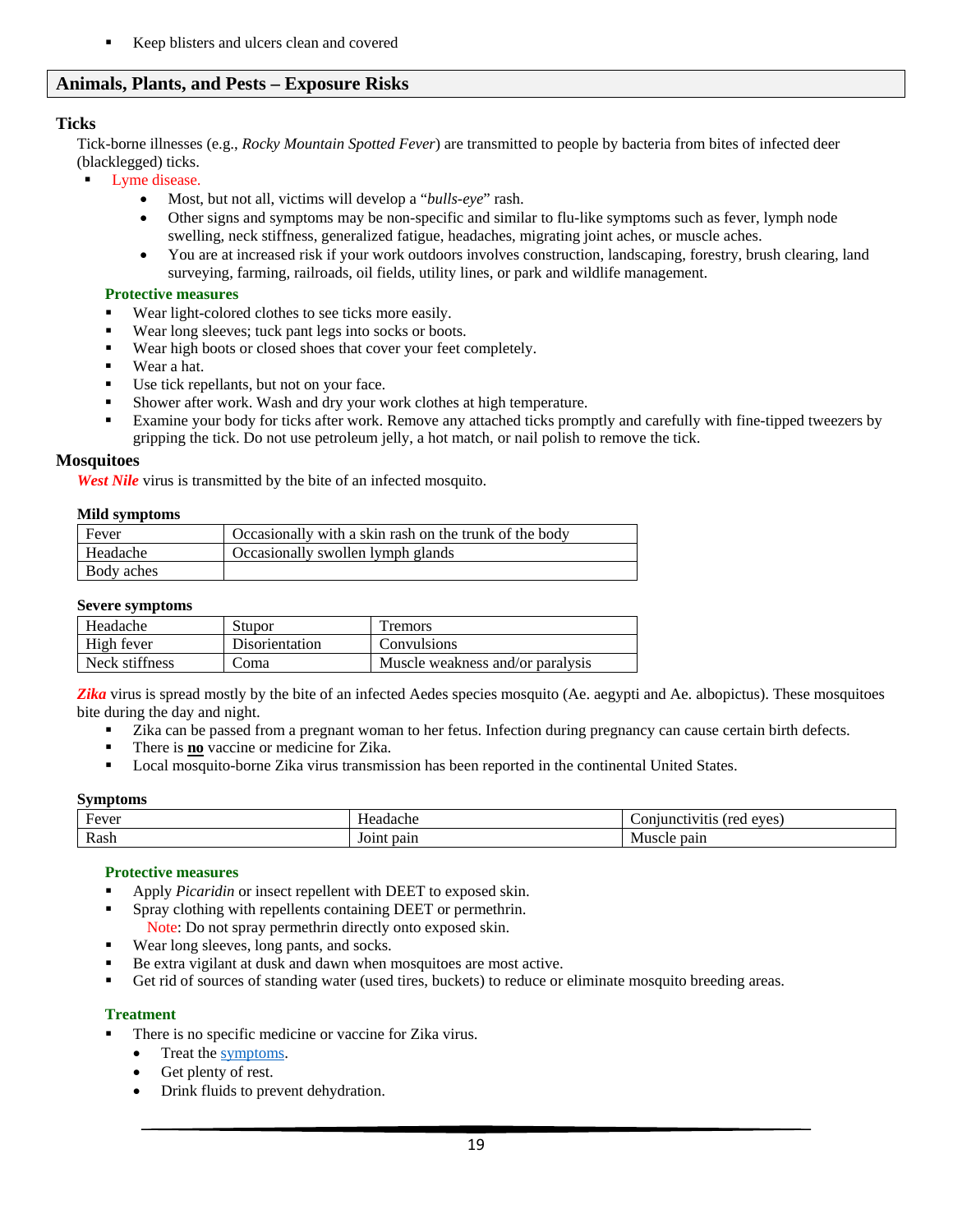Keep blisters and ulcers clean and covered

# <span id="page-19-0"></span>**Animals, Plants, and Pests – Exposure Risks**

# <span id="page-19-1"></span>**Ticks**

Tick-borne illnesses (e.g., *Rocky Mountain Spotted Fever*) are transmitted to people by bacteria from bites of infected deer (blacklegged) ticks.

- Lyme disease.
	- Most, but not all, victims will develop a "*bulls-eye*" rash.
	- Other signs and symptoms may be non-specific and similar to flu-like symptoms such as fever, lymph node swelling, neck stiffness, generalized fatigue, headaches, migrating joint aches, or muscle aches.
	- You are at increased risk if your work outdoors involves construction, landscaping, forestry, brush clearing, land surveying, farming, railroads, oil fields, utility lines, or park and wildlife management.

#### <span id="page-19-2"></span>**Protective measures**

- Wear light-colored clothes to see ticks more easily.
- Wear long sleeves; tuck pant legs into socks or boots.
- Wear high boots or closed shoes that cover your feet completely.
- Wear a hat.
- Use tick repellants, but not on your face.
- Shower after work. Wash and dry your work clothes at high temperature.
- Examine your body for ticks after work. Remove any attached ticks promptly and carefully with fine-tipped tweezers by gripping the tick. Do not use petroleum jelly, a hot match, or nail polish to remove the tick.

### <span id="page-19-4"></span><span id="page-19-3"></span>**Mosquitoes**

*West Nile* virus is transmitted by the bite of an infected mosquito.

#### **Mild symptoms**

| Fever           | Occasionally with a skin rash on the trunk of the body |
|-----------------|--------------------------------------------------------|
|                 |                                                        |
| <b>Headache</b> | Occasionally swollen lymph glands                      |
| Body aches      |                                                        |

#### **Severe symptoms**

| Headache       | <b>Stupor</b>         | <i>l</i> remors                  |
|----------------|-----------------------|----------------------------------|
| High fever     | <b>Disorientation</b> | <b>Convulsions</b>               |
| Neck stiffness | 20ma                  | Muscle weakness and/or paralysis |

<span id="page-19-5"></span>*Zika* virus is spread mostly by the bite of an infected Aedes species mosquito (Ae. aegypti and Ae. albopictus). These mosquitoes bite during the day and night.

- Zika can be passed from a pregnant woman to her fetus. Infection during pregnancy can cause certain birth defects.
- There is **no** vaccine or medicine for Zika.
- **Local mosquito-borne Zika virus transmission has been reported in the continental United States.**

#### **Symptoms**

| $\sqrt{ }$<br>Fever | ланаспе       | ATAC<br>l roc<br>.)r |
|---------------------|---------------|----------------------|
| Rash                | pain<br>Joint | pair.<br>ΙVΙ<br>.    |

#### **Protective measures**

- Apply *Picaridin* or insect repellent with DEET to exposed skin.
- Spray clothing with repellents containing DEET or permethrin.
	- Note: Do not spray permethrin directly onto exposed skin.
- Wear long sleeves, long pants, and socks.
- Be extra vigilant at dusk and dawn when mosquitoes are most active.
- Get rid of sources of standing water (used tires, buckets) to reduce or eliminate mosquito breeding areas.

#### **Treatment**

- There is no specific medicine or vaccine for Zika virus.
	- Treat the <u>symptoms</u>.
	- Get plenty of rest.
	- Drink fluids to prevent dehydration.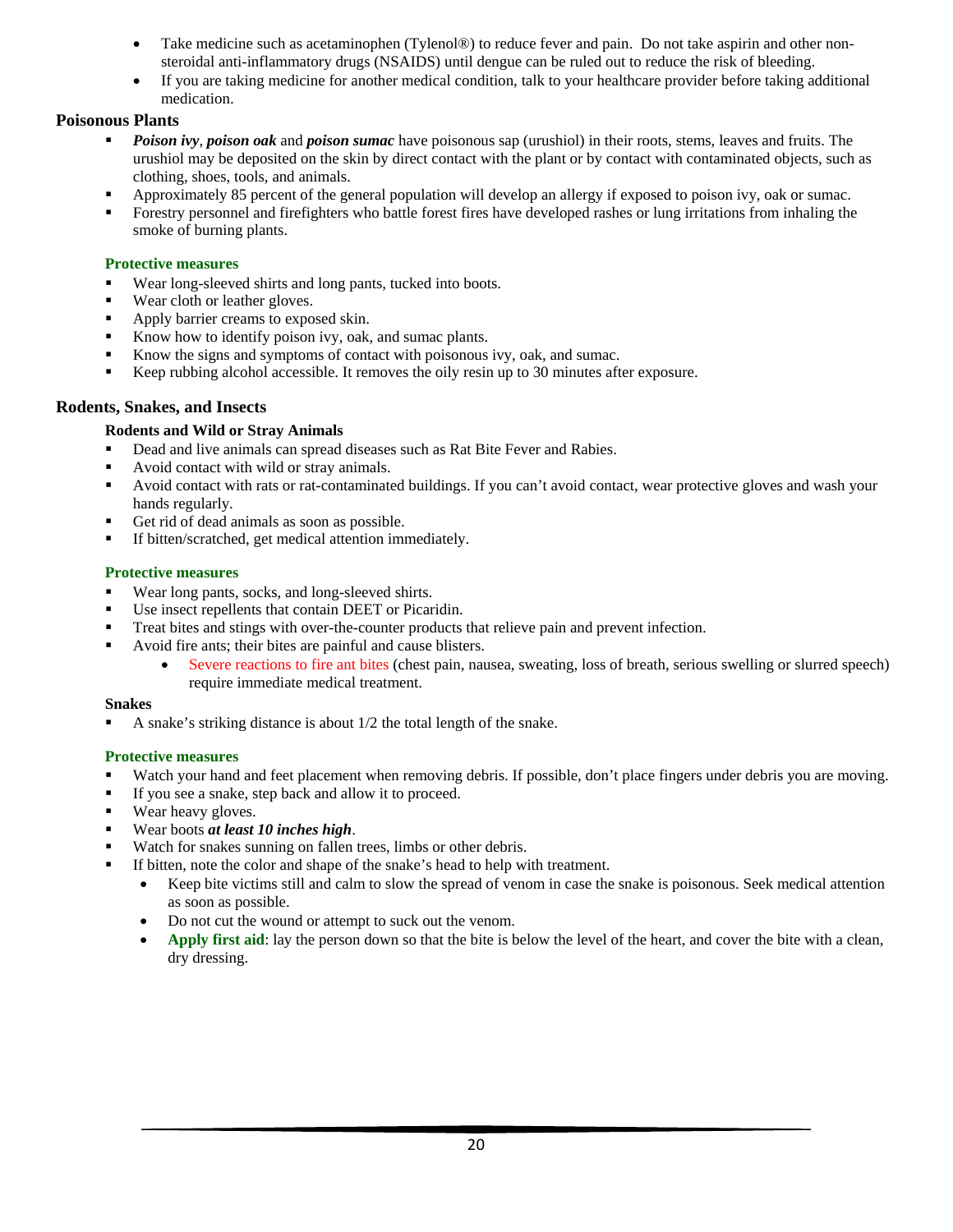- Take medicine such as acetaminophen (Tylenol®) to reduce fever and pain. Do not take aspirin and other nonsteroidal anti-inflammatory drugs (NSAIDS) until dengue can be ruled out to reduce the risk of bleeding.
- If you are taking medicine for another medical condition, talk to your healthcare provider before taking additional medication.

## <span id="page-20-0"></span>**Poisonous Plants**

- *Poison ivy*, *poison oak* and *poison sumac* have poisonous sap (urushiol) in their roots, stems, leaves and fruits. The urushiol may be deposited on the skin by direct contact with the plant or by contact with contaminated objects, such as clothing, shoes, tools, and animals.
- Approximately 85 percent of the general population will develop an allergy if exposed to poison ivy, oak or sumac.
- Forestry personnel and firefighters who battle forest fires have developed rashes or lung irritations from inhaling the smoke of burning plants.

## <span id="page-20-1"></span>**Protective measures**

- Wear long-sleeved shirts and long pants, tucked into boots.
- Wear cloth or leather gloves.
- Apply barrier creams to exposed skin.
- Know how to identify poison ivy, oak, and sumac plants.
- Know the signs and symptoms of contact with poisonous ivy, oak, and sumac.
- Keep rubbing alcohol accessible. It removes the oily resin up to 30 minutes after exposure.

## <span id="page-20-3"></span><span id="page-20-2"></span>**Rodents, Snakes, and Insects**

## **Rodents and Wild or Stray Animals**

- Dead and live animals can spread diseases such as Rat Bite Fever and Rabies.
- Avoid contact with wild or stray animals.
- Avoid contact with rats or rat-contaminated buildings. If you can't avoid contact, wear protective gloves and wash your hands regularly.
- Get rid of dead animals as soon as possible.
- If bitten/scratched, get medical attention immediately.

## **Protective measures**

- Wear long pants, socks, and long-sleeved shirts.
- Use insect repellents that contain DEET or Picaridin.
- Treat bites and stings with over-the-counter products that relieve pain and prevent infection.
- Avoid fire ants; their bites are painful and cause blisters.
	- Severe reactions to fire ant bites (chest pain, nausea, sweating, loss of breath, serious swelling or slurred speech) require immediate medical treatment.

## <span id="page-20-4"></span>**Snakes**

A snake's striking distance is about 1/2 the total length of the snake.

## **Protective measures**

- Watch your hand and feet placement when removing debris. If possible, don't place fingers under debris you are moving.
- If you see a snake, step back and allow it to proceed.
- Wear heavy gloves.
- Wear boots *at least 10 inches high*.
- Watch for snakes sunning on fallen trees, limbs or other debris.
- If bitten, note the color and shape of the snake's head to help with treatment.
	- Keep bite victims still and calm to slow the spread of venom in case the snake is poisonous. Seek medical attention as soon as possible.
	- Do not cut the wound or attempt to suck out the venom.
	- Apply first aid: lay the person down so that the bite is below the level of the heart, and cover the bite with a clean, dry dressing.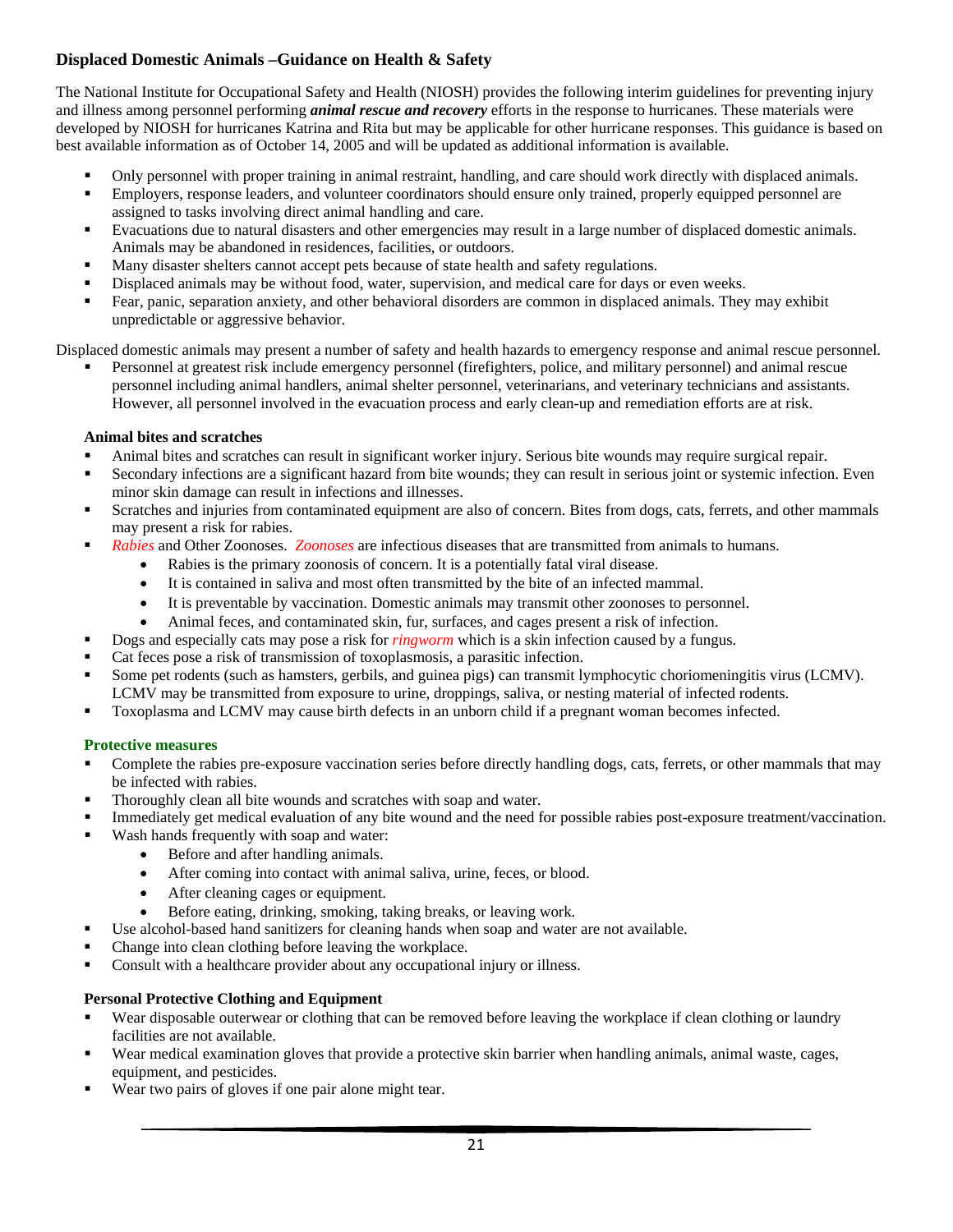# <span id="page-21-0"></span>**Displaced Domestic Animals –Guidance on Health & Safety**

The National Institute for Occupational Safety and Health (NIOSH) provides the following interim guidelines for preventing injury and illness among personnel performing *animal rescue and recovery* efforts in the response to hurricanes. These materials were developed by NIOSH for hurricanes Katrina and Rita but may be applicable for other hurricane responses. This guidance is based on best available information as of October 14, 2005 and will be updated as additional information is available.

- Only personnel with proper training in animal restraint, handling, and care should work directly with displaced animals.
- Employers, response leaders, and volunteer coordinators should ensure only trained, properly equipped personnel are assigned to tasks involving direct animal handling and care.
- Evacuations due to natural disasters and other emergencies may result in a large number of displaced domestic animals. Animals may be abandoned in residences, facilities, or outdoors.
- Many disaster shelters cannot accept pets because of state health and safety regulations.
- Displaced animals may be without food, water, supervision, and medical care for days or even weeks.
- Fear, panic, separation anxiety, and other behavioral disorders are common in displaced animals. They may exhibit unpredictable or aggressive behavior.

Displaced domestic animals may present a number of safety and health hazards to emergency response and animal rescue personnel.

 Personnel at greatest risk include emergency personnel (firefighters, police, and military personnel) and animal rescue personnel including animal handlers, animal shelter personnel, veterinarians, and veterinary technicians and assistants. However, all personnel involved in the evacuation process and early clean-up and remediation efforts are at risk.

### <span id="page-21-1"></span>**Animal bites and scratches**

- Animal bites and scratches can result in significant worker injury. Serious bite wounds may require surgical repair.
- Secondary infections are a significant hazard from bite wounds; they can result in serious joint or systemic infection. Even minor skin damage can result in infections and illnesses.
- Scratches and injuries from contaminated equipment are also of concern. Bites from dogs, cats, ferrets, and other mammals may present a risk for rabies.
- *Rabies* and Other Zoonoses. *Zoonoses* are infectious diseases that are transmitted from animals to humans.
	- Rabies is the primary zoonosis of concern. It is a potentially fatal viral disease.
	- It is contained in saliva and most often transmitted by the bite of an infected mammal.
	- It is preventable by vaccination. Domestic animals may transmit other zoonoses to personnel.
	- Animal feces, and contaminated skin, fur, surfaces, and cages present a risk of infection.
- Dogs and especially cats may pose a risk for *ringworm* which is a skin infection caused by a fungus.
- Cat feces pose a risk of transmission of toxoplasmosis, a parasitic infection.
- Some pet rodents (such as hamsters, gerbils, and guinea pigs) can transmit lymphocytic choriomeningitis virus (LCMV). LCMV may be transmitted from exposure to urine, droppings, saliva, or nesting material of infected rodents.
- Toxoplasma and LCMV may cause birth defects in an unborn child if a pregnant woman becomes infected.

#### **Protective measures**

- Complete the rabies pre-exposure vaccination series before directly handling dogs, cats, ferrets, or other mammals that may be infected with rabies.
- Thoroughly clean all bite wounds and scratches with soap and water.
- Immediately get medical evaluation of any bite wound and the need for possible rabies post-exposure treatment/vaccination.
- Wash hands frequently with soap and water:
	- Before and after handling animals.
	- After coming into contact with animal saliva, urine, feces, or blood.
	- After cleaning cages or equipment.
	- Before eating, drinking, smoking, taking breaks, or leaving work.
- Use alcohol-based hand sanitizers for cleaning hands when soap and water are not available.
- Change into clean clothing before leaving the workplace.
- Consult with a healthcare provider about any occupational injury or illness.

#### **Personal Protective Clothing and Equipment**

- Wear disposable outerwear or clothing that can be removed before leaving the workplace if clean clothing or laundry facilities are not available.
- Wear medical examination gloves that provide a protective skin barrier when handling animals, animal waste, cages, equipment, and pesticides.
- Wear two pairs of gloves if one pair alone might tear.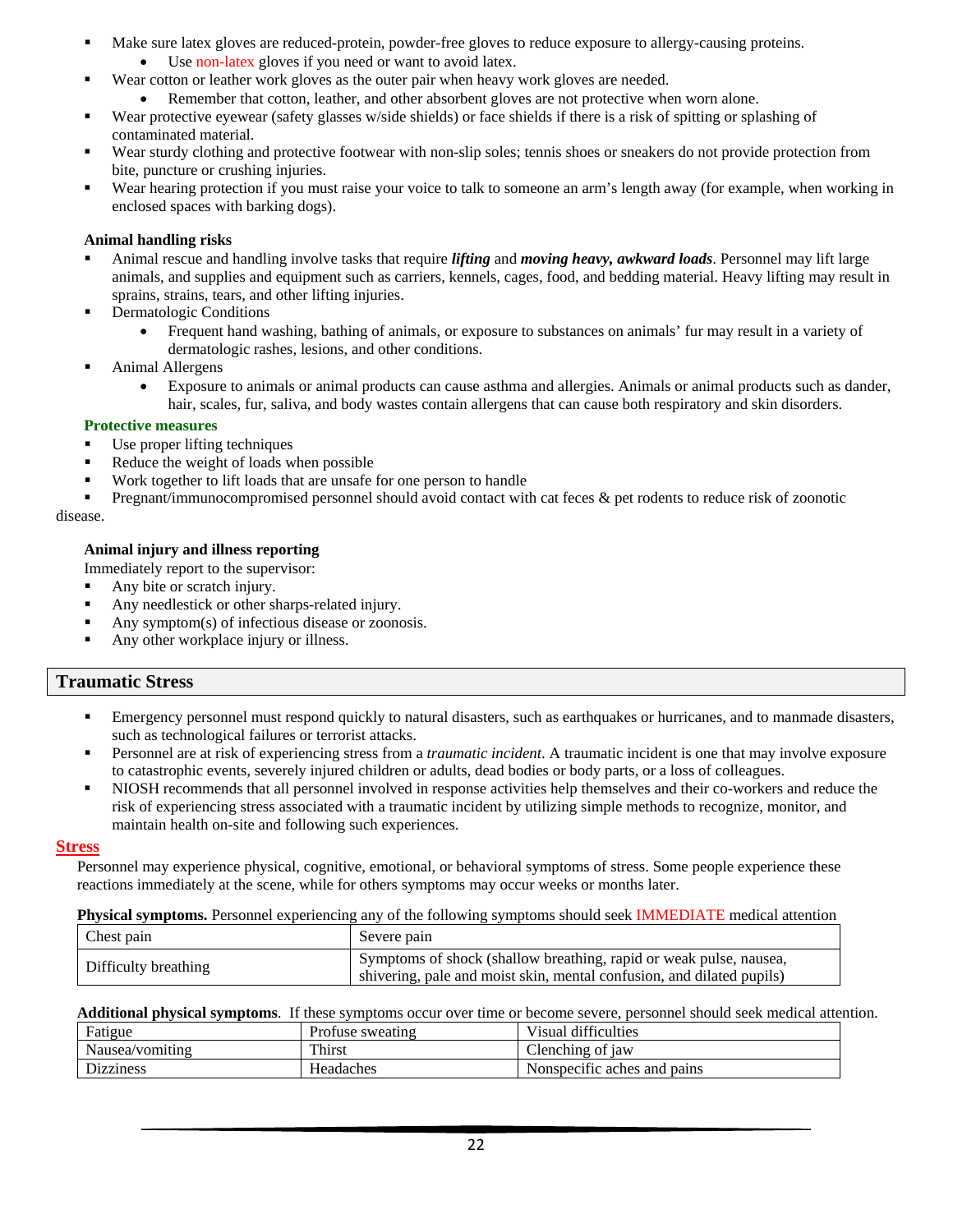- Make sure latex gloves are reduced-protein, powder-free gloves to reduce exposure to allergy-causing proteins.
	- Use non-latex gloves if you need or want to avoid latex.
- Wear cotton or leather work gloves as the outer pair when heavy work gloves are needed.
	- Remember that cotton, leather, and other absorbent gloves are not protective when worn alone.
- Wear protective eyewear (safety glasses w/side shields) or face shields if there is a risk of spitting or splashing of contaminated material.
- Wear sturdy clothing and protective footwear with non-slip soles; tennis shoes or sneakers do not provide protection from bite, puncture or crushing injuries.
- Wear hearing protection if you must raise your voice to talk to someone an arm's length away (for example, when working in enclosed spaces with barking dogs).

## <span id="page-22-0"></span>**Animal handling risks**

- Animal rescue and handling involve tasks that require *lifting* and *moving heavy, awkward loads*. Personnel may lift large animals, and supplies and equipment such as carriers, kennels, cages, food, and bedding material. Heavy lifting may result in sprains, strains, tears, and other lifting injuries.
- Dermatologic Conditions
	- Frequent hand washing, bathing of animals, or exposure to substances on animals' fur may result in a variety of dermatologic rashes, lesions, and other conditions.
- Animal Allergens
	- Exposure to animals or animal products can cause asthma and allergies. Animals or animal products such as dander, hair, scales, fur, saliva, and body wastes contain allergens that can cause both respiratory and skin disorders.

## **Protective measures**

- Use proper lifting techniques
- Reduce the weight of loads when possible
- Work together to lift loads that are unsafe for one person to handle
- Pregnant/immunocompromised personnel should avoid contact with cat feces & pet rodents to reduce risk of zoonotic disease.

## <span id="page-22-1"></span>**Animal injury and illness reporting**

Immediately report to the supervisor:

- Any bite or scratch injury.
- Any needlestick or other sharps-related injury.
- Any symptom(s) of infectious disease or zoonosis.
- Any other workplace injury or illness.

## <span id="page-22-2"></span>**Traumatic Stress**

- Emergency personnel must respond quickly to natural disasters, such as earthquakes or hurricanes, and to manmade disasters, such as technological failures or terrorist attacks.
- Personnel are at risk of experiencing stress from a *traumatic incident*. A traumatic incident is one that may involve exposure to catastrophic events, severely injured children or adults, dead bodies or body parts, or a loss of colleagues.
- NIOSH recommends that all personnel involved in response activities help themselves and their co-workers and reduce the risk of experiencing stress associated with a traumatic incident by utilizing simple methods to recognize, monitor, and maintain health on-site and following such experiences.

## <span id="page-22-3"></span>**Stress**

Personnel may experience physical, cognitive, emotional, or behavioral symptoms of stress. Some people experience these reactions immediately at the scene, while for others symptoms may occur weeks or months later.

<span id="page-22-4"></span>**Physical symptoms.** Personnel experiencing any of the following symptoms should seek IMMEDIATE medical attention

| Chest pain           | Severe pain                                                                                                                                 |
|----------------------|---------------------------------------------------------------------------------------------------------------------------------------------|
| Difficulty breathing | Symptoms of shock (shallow breathing, rapid or weak pulse, nausea,<br>shivering, pale and moist skin, mental confusion, and dilated pupils) |

**Additional physical symptoms**. If these symptoms occur over time or become severe, personnel should seek medical attention.

| Fatigue          | Profuse sweating | Visual difficulties         |
|------------------|------------------|-----------------------------|
| Nausea/vomiting  | Thirst           | Clenching of jaw            |
| <b>Dizziness</b> | Headaches        | Nonspecific aches and pains |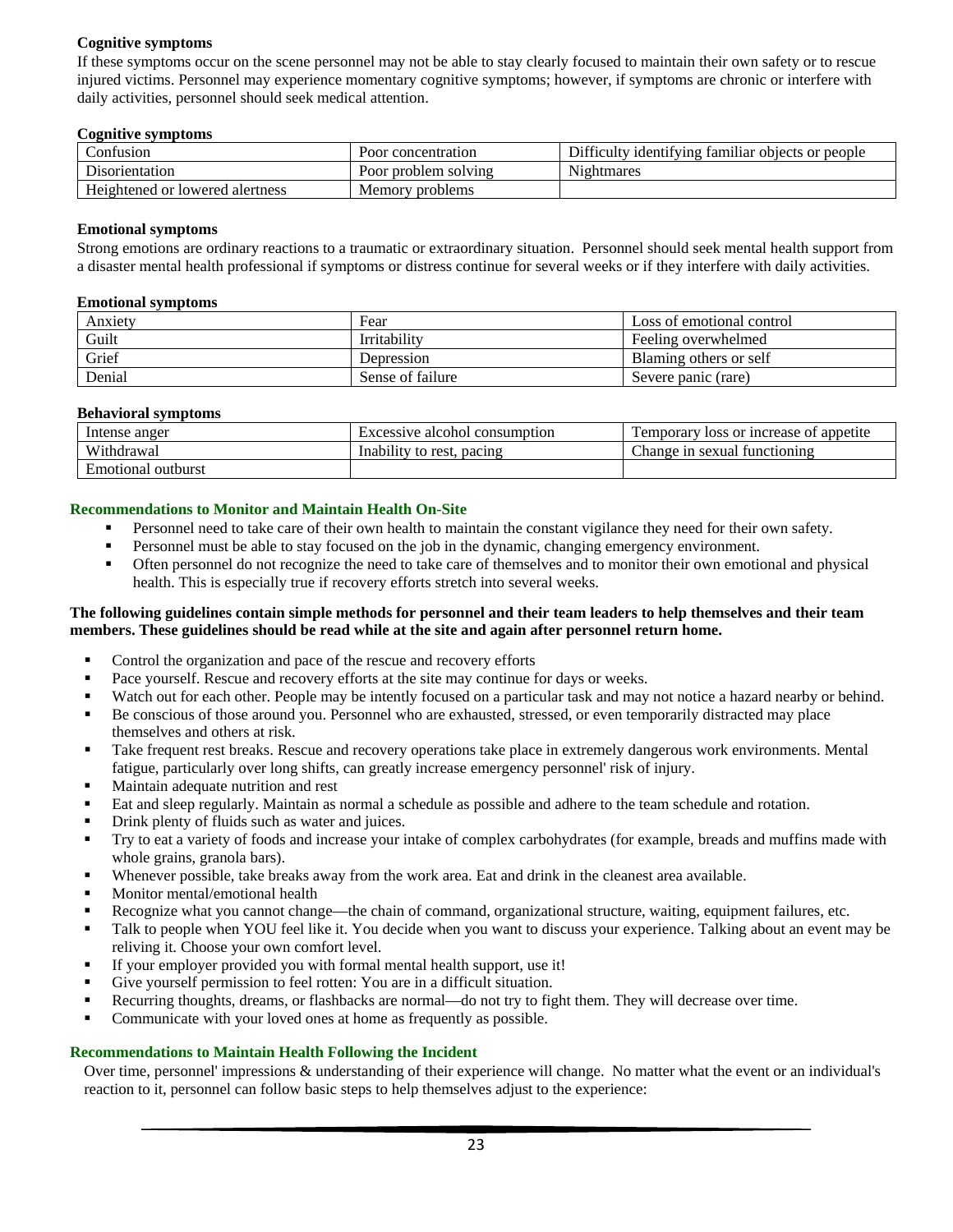## <span id="page-23-0"></span>**Cognitive symptoms**

If these symptoms occur on the scene personnel may not be able to stay clearly focused to maintain their own safety or to rescue injured victims. Personnel may experience momentary cognitive symptoms; however, if symptoms are chronic or interfere with daily activities, personnel should seek medical attention.

#### **Cognitive symptoms**

| onfusion_                       | Poor<br>concentration <sup>.</sup> | Difficulty identifying familiar<br>objects or people |
|---------------------------------|------------------------------------|------------------------------------------------------|
| Disorientation                  | Poor<br>r problem solving          | Nightmares                                           |
| Heightened or lowered alertness | Memory<br>7 problems               |                                                      |

#### <span id="page-23-1"></span>**Emotional symptoms**

Strong emotions are ordinary reactions to a traumatic or extraordinary situation. Personnel should seek mental health support from a disaster mental health professional if symptoms or distress continue for several weeks or if they interfere with daily activities.

#### **Emotional symptoms**

| Anxiety | Fear             | Loss of emotional control |
|---------|------------------|---------------------------|
| Guilt   | Irritability     | Feeling overwhelmed       |
| Grief   | Depression       | Blaming others or self    |
| Denial  | Sense of failure | Severe panic (rare)       |

#### <span id="page-23-2"></span>**Behavioral symptoms**

| Intense anger         | Excessive alcohol consumption | I loss or increase of appetite<br>I emporary |
|-----------------------|-------------------------------|----------------------------------------------|
| Withdrawal            | Inability to rest.<br>pacing  | ı sexual functioning<br>hange in             |
| outburst<br>Emotional |                               |                                              |

#### **Recommendations to Monitor and Maintain Health On-Site**

- Personnel need to take care of their own health to maintain the constant vigilance they need for their own safety.
- Personnel must be able to stay focused on the job in the dynamic, changing emergency environment.
- Often personnel do not recognize the need to take care of themselves and to monitor their own emotional and physical health. This is especially true if recovery efforts stretch into several weeks.

#### **The following guidelines contain simple methods for personnel and their team leaders to help themselves and their team members. These guidelines should be read while at the site and again after personnel return home.**

- Control the organization and pace of the rescue and recovery efforts
- Pace yourself. Rescue and recovery efforts at the site may continue for days or weeks.
- Watch out for each other. People may be intently focused on a particular task and may not notice a hazard nearby or behind.
- Be conscious of those around you. Personnel who are exhausted, stressed, or even temporarily distracted may place themselves and others at risk.
- Take frequent rest breaks. Rescue and recovery operations take place in extremely dangerous work environments. Mental fatigue, particularly over long shifts, can greatly increase emergency personnel' risk of injury.
- Maintain adequate nutrition and rest
- Eat and sleep regularly. Maintain as normal a schedule as possible and adhere to the team schedule and rotation.
- Drink plenty of fluids such as water and juices.
- Try to eat a variety of foods and increase your intake of complex carbohydrates (for example, breads and muffins made with whole grains, granola bars).
- Whenever possible, take breaks away from the work area. Eat and drink in the cleanest area available.
- Monitor mental/emotional health
- Recognize what you cannot change—the chain of command, organizational structure, waiting, equipment failures, etc.
- Talk to people when YOU feel like it. You decide when you want to discuss your experience. Talking about an event may be reliving it. Choose your own comfort level.
- If your employer provided you with formal mental health support, use it!
- Give yourself permission to feel rotten: You are in a difficult situation.
- Recurring thoughts, dreams, or flashbacks are normal—do not try to fight them. They will decrease over time.
- Communicate with your loved ones at home as frequently as possible.

#### **Recommendations to Maintain Health Following the Incident**

Over time, personnel' impressions & understanding of their experience will change. No matter what the event or an individual's reaction to it, personnel can follow basic steps to help themselves adjust to the experience: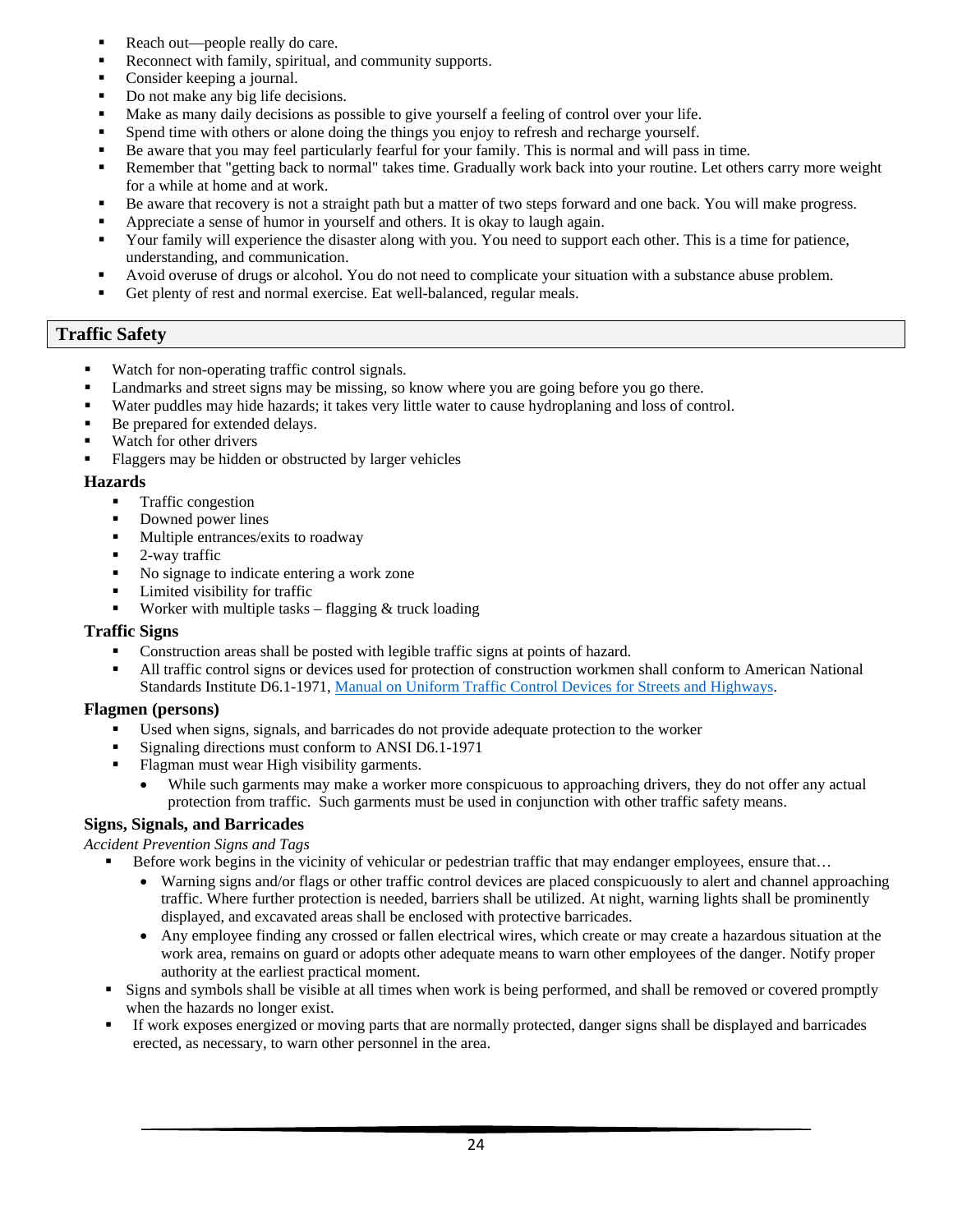- Reach out—people really do care.
- Reconnect with family, spiritual, and community supports.
- Consider keeping a journal.
- Do not make any big life decisions.
- Make as many daily decisions as possible to give yourself a feeling of control over your life.
- Spend time with others or alone doing the things you enjoy to refresh and recharge yourself.
- Be aware that you may feel particularly fearful for your family. This is normal and will pass in time.
- Remember that "getting back to normal" takes time. Gradually work back into your routine. Let others carry more weight for a while at home and at work.
- Be aware that recovery is not a straight path but a matter of two steps forward and one back. You will make progress.
- Appreciate a sense of humor in yourself and others. It is okay to laugh again.
- Your family will experience the disaster along with you. You need to support each other. This is a time for patience, understanding, and communication.
- Avoid overuse of drugs or alcohol. You do not need to complicate your situation with a substance abuse problem.
- Get plenty of rest and normal exercise. Eat well-balanced, regular meals.

# <span id="page-24-0"></span>**Traffic Safety**

- Watch for non-operating traffic control signals.
- Landmarks and street signs may be missing, so know where you are going before you go there.
- Water puddles may hide hazards; it takes very little water to cause hydroplaning and loss of control.
- Be prepared for extended delays.
- Watch for other drivers
- Flaggers may be hidden or obstructed by larger vehicles

### <span id="page-24-1"></span>**Hazards**

- Traffic congestion
- Downed power lines
- Multiple entrances/exits to roadway
- 2-way traffic
- No signage to indicate entering a work zone
- Limited visibility for traffic
- **Worker with multiple tasks** flagging  $\&$  truck loading

## <span id="page-24-2"></span>**Traffic Signs**

- Construction areas shall be posted with legible traffic signs at points of hazard.
- All traffic control signs or devices used for protection of construction workmen shall conform to American National Standards Institute D6.1-1971, [Manual on Uniform Traffic Control Devices for Streets and Highways.](mailto:https://mutcd.fhwa.dot.gov/pdfs/2009r1r2/pdf_index.htm)

## <span id="page-24-3"></span>**Flagmen (persons)**

- Used when signs, signals, and barricades do not provide adequate protection to the worker
- Signaling directions must conform to ANSI D6.1-1971
- Flagman must wear High visibility garments.
	- While such garments may make a worker more conspicuous to approaching drivers, they do not offer any actual protection from traffic. Such garments must be used in conjunction with other traffic safety means.

## <span id="page-24-4"></span>**Signs, Signals, and Barricades**

*Accident Prevention Signs and Tags*

- Before work begins in the vicinity of vehicular or pedestrian traffic that may endanger employees, ensure that...
	- Warning signs and/or flags or other traffic control devices are placed conspicuously to alert and channel approaching traffic. Where further protection is needed, barriers shall be utilized. At night, warning lights shall be prominently displayed, and excavated areas shall be enclosed with protective barricades.
	- Any employee finding any crossed or fallen electrical wires, which create or may create a hazardous situation at the work area, remains on guard or adopts other adequate means to warn other employees of the danger. Notify proper authority at the earliest practical moment.
- Signs and symbols shall be visible at all times when work is being performed, and shall be removed or covered promptly when the hazards no longer exist.
- If work exposes energized or moving parts that are normally protected, danger signs shall be displayed and barricades erected, as necessary, to warn other personnel in the area.